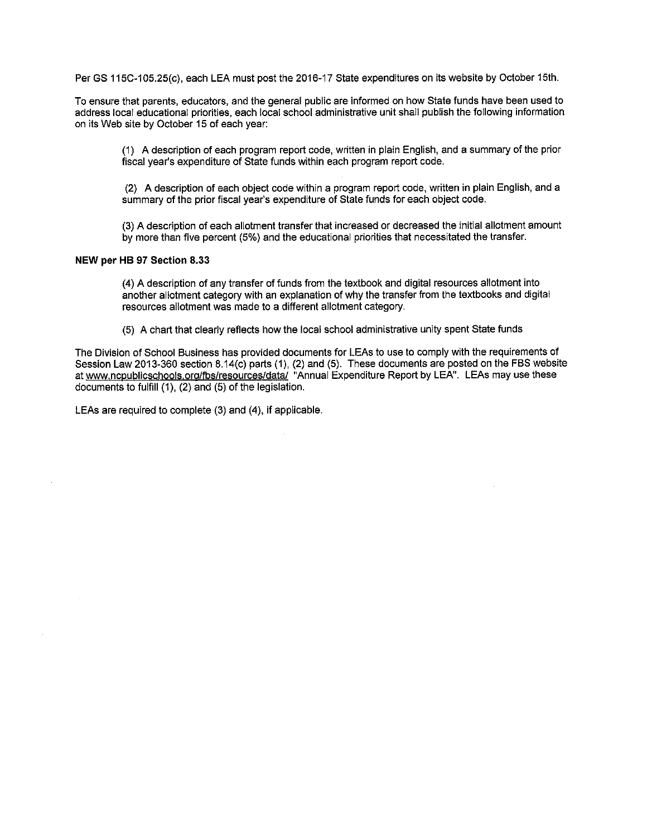Per GS 115C-105.25(c), each LEA must post the 2016-17 State expenditures on its website by October 15th.

To ensure that parents, educators, and the general public are informed on how State funds have been used to address local educational priorities, each local school administrative unit shall publish the following information on its Web site by October 15 of each year:

(1) A description of each program report code, written in plain English, and a summary of the prior fiscal year's expenditure of State funds within each program report code.

(2) A description of each object code within a program report code, written in plain English, and a summary of the prior fiscal year's expenditure of State funds for each object code.

(3) A description of each allotment transfer that increased or decreased the initial allotment amount by more than five percent (5%) and the educational priorities that necessitated the transfer.

### NEW per HB 97 Section 8.33

(4) A description of any transfer of funds from the textbook and digital resources allotment into another allotment category with an explanation of why the transfer from the textbooks and digital resources allotment was made to a different allotment category.

(5) A chart that clearly reflects how the local school administrative unity spent State funds

The Division of School Business has provided documents for LEAs to use to comply with the requirements of Session Law 2013-360 section 8.14(c) parts (1), (2) and (5). These documents are posted on the FBS website at www.ncpublicschools.org/fbs/resources/data/ "Annual Expenditure Report by LEA". LEAs may use these documents to fulfill (1), (2) and (5) of the legislation.

LEAs are required to complete (3) and (4), if applicable.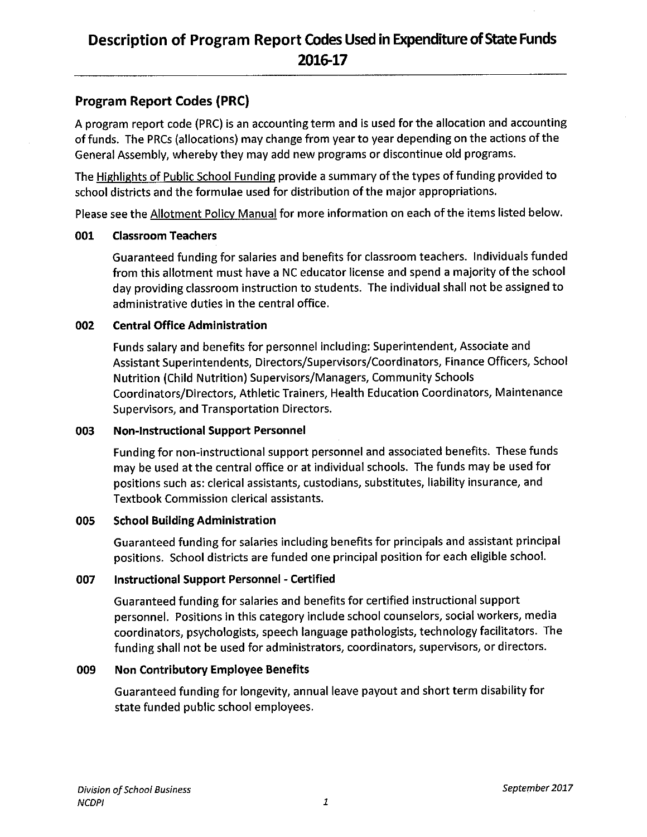## Description of Program Report Codes Used in Expenditure of State Funds 2016-17

### **Program Report Codes (PRC)**

A program report code (PRC) is an accounting term and is used for the allocation and accounting of funds. The PRCs (allocations) may change from year to year depending on the actions of the General Assembly, whereby they may add new programs or discontinue old programs.

The Highlights of Public School Funding provide a summary of the types of funding provided to school districts and the formulae used for distribution of the major appropriations.

Please see the Allotment Policy Manual for more information on each of the items listed below.

#### **Classroom Teachers** 001

Guaranteed funding for salaries and benefits for classroom teachers. Individuals funded from this allotment must have a NC educator license and spend a majority of the school day providing classroom instruction to students. The individual shall not be assigned to administrative duties in the central office.

#### 002 **Central Office Administration**

Funds salary and benefits for personnel including: Superintendent, Associate and Assistant Superintendents, Directors/Supervisors/Coordinators, Finance Officers, School **Nutrition (Child Nutrition) Supervisors/Managers, Community Schools** Coordinators/Directors, Athletic Trainers, Health Education Coordinators, Maintenance Supervisors, and Transportation Directors.

#### 003 **Non-Instructional Support Personnel**

Funding for non-instructional support personnel and associated benefits. These funds may be used at the central office or at individual schools. The funds may be used for positions such as: clerical assistants, custodians, substitutes, liability insurance, and **Textbook Commission clerical assistants.** 

#### **School Building Administration** 005

Guaranteed funding for salaries including benefits for principals and assistant principal positions. School districts are funded one principal position for each eligible school.

#### 007 Instructional Support Personnel - Certified

Guaranteed funding for salaries and benefits for certified instructional support personnel. Positions in this category include school counselors, social workers, media coordinators, psychologists, speech language pathologists, technology facilitators. The funding shall not be used for administrators, coordinators, supervisors, or directors.

#### 009 **Non Contributory Employee Benefits**

Guaranteed funding for longevity, annual leave payout and short term disability for state funded public school employees.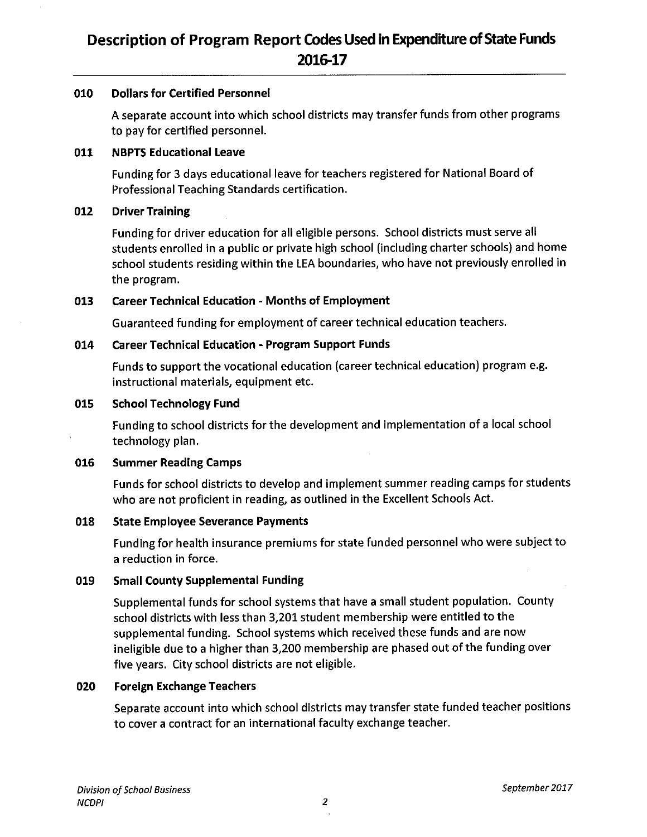#### 010 **Dollars for Certified Personnel**

A separate account into which school districts may transfer funds from other programs to pay for certified personnel.

#### 011 **NBPTS Educational Leave**

Funding for 3 days educational leave for teachers registered for National Board of Professional Teaching Standards certification.

#### 012 **Driver Training**

Funding for driver education for all eligible persons. School districts must serve all students enrolled in a public or private high school (including charter schools) and home school students residing within the LEA boundaries, who have not previously enrolled in the program.

#### 013 **Career Technical Education - Months of Employment**

Guaranteed funding for employment of career technical education teachers.

#### **Career Technical Education - Program Support Funds** 014

Funds to support the vocational education (career technical education) program e.g. instructional materials, equipment etc.

#### 015 **School Technology Fund**

Funding to school districts for the development and implementation of a local school technology plan.

#### 016 **Summer Reading Camps**

Funds for school districts to develop and implement summer reading camps for students who are not proficient in reading, as outlined in the Excellent Schools Act.

#### 018 **State Employee Severance Payments**

Funding for health insurance premiums for state funded personnel who were subject to a reduction in force.

#### 019 **Small County Supplemental Funding**

Supplemental funds for school systems that have a small student population. County school districts with less than 3,201 student membership were entitled to the supplemental funding. School systems which received these funds and are now ineligible due to a higher than 3,200 membership are phased out of the funding over five years. City school districts are not eligible.

#### **Foreign Exchange Teachers** 020

Separate account into which school districts may transfer state funded teacher positions to cover a contract for an international faculty exchange teacher.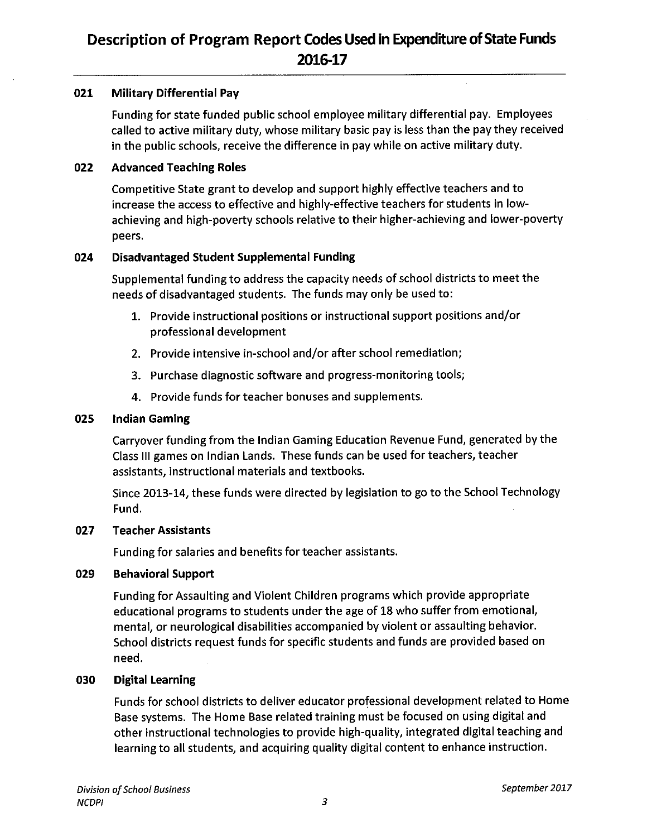#### 021 **Military Differential Pay**

Funding for state funded public school employee military differential pay. Employees called to active military duty, whose military basic pay is less than the pay they received in the public schools, receive the difference in pay while on active military duty.

#### 022 **Advanced Teaching Roles**

Competitive State grant to develop and support highly effective teachers and to increase the access to effective and highly-effective teachers for students in lowachieving and high-poverty schools relative to their higher-achieving and lower-poverty peers.

#### 024 **Disadvantaged Student Supplemental Funding**

Supplemental funding to address the capacity needs of school districts to meet the needs of disadvantaged students. The funds may only be used to:

- 1. Provide instructional positions or instructional support positions and/or professional development
- 2. Provide intensive in-school and/or after school remediation;
- 3. Purchase diagnostic software and progress-monitoring tools;
- 4. Provide funds for teacher bonuses and supplements.

#### 025 **Indian Gaming**

Carryover funding from the Indian Gaming Education Revenue Fund, generated by the Class III games on Indian Lands. These funds can be used for teachers, teacher assistants, instructional materials and textbooks.

Since 2013-14, these funds were directed by legislation to go to the School Technology Fund.

#### 027 **Teacher Assistants**

Funding for salaries and benefits for teacher assistants.

#### 029 **Behavioral Support**

Funding for Assaulting and Violent Children programs which provide appropriate educational programs to students under the age of 18 who suffer from emotional, mental, or neurological disabilities accompanied by violent or assaulting behavior. School districts request funds for specific students and funds are provided based on need.

#### 030 **Digital Learning**

Funds for school districts to deliver educator professional development related to Home Base systems. The Home Base related training must be focused on using digital and other instructional technologies to provide high-quality, integrated digital teaching and learning to all students, and acquiring quality digital content to enhance instruction.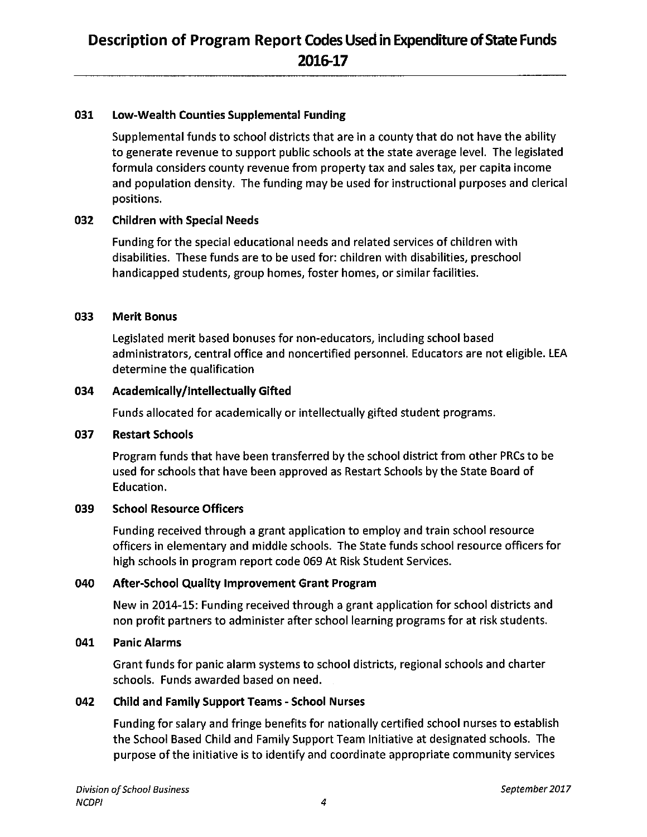#### 031 Low-Wealth Counties Supplemental Funding

Supplemental funds to school districts that are in a county that do not have the ability to generate revenue to support public schools at the state average level. The legislated formula considers county revenue from property tax and sales tax, per capita income and population density. The funding may be used for instructional purposes and clerical positions.

#### 032 **Children with Special Needs**

Funding for the special educational needs and related services of children with disabilities. These funds are to be used for: children with disabilities, preschool handicapped students, group homes, foster homes, or similar facilities.

#### 033 **Merit Bonus**

Legislated merit based bonuses for non-educators, including school based administrators, central office and noncertified personnel. Educators are not eligible. LEA determine the qualification

#### 034 Academically/intellectually Gifted

Funds allocated for academically or intellectually gifted student programs.

#### 037 **Restart Schools**

Program funds that have been transferred by the school district from other PRCs to be used for schools that have been approved as Restart Schools by the State Board of Education.

#### 039 **School Resource Officers**

Funding received through a grant application to employ and train school resource officers in elementary and middle schools. The State funds school resource officers for high schools in program report code 069 At Risk Student Services.

#### 040 **After-School Quality Improvement Grant Program**

New in 2014-15: Funding received through a grant application for school districts and non profit partners to administer after school learning programs for at risk students.

#### 041 **Panic Alarms**

Grant funds for panic alarm systems to school districts, regional schools and charter schools. Funds awarded based on need.

#### 042 **Child and Family Support Teams - School Nurses**

Funding for salary and fringe benefits for nationally certified school nurses to establish the School Based Child and Family Support Team Initiative at designated schools. The purpose of the initiative is to identify and coordinate appropriate community services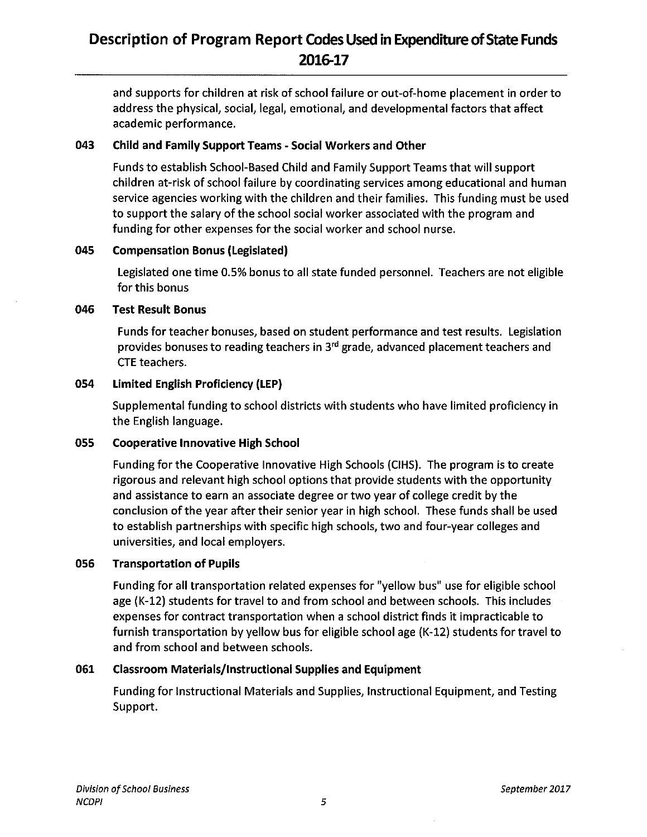## Description of Program Report Codes Used in Expenditure of State Funds 2016-17

and supports for children at risk of school failure or out-of-home placement in order to address the physical, social, legal, emotional, and developmental factors that affect academic performance.

#### 043 **Child and Family Support Teams - Social Workers and Other**

Funds to establish School-Based Child and Family Support Teams that will support children at-risk of school failure by coordinating services among educational and human service agencies working with the children and their families. This funding must be used to support the salary of the school social worker associated with the program and funding for other expenses for the social worker and school nurse.

#### 045 **Compensation Bonus (Legislated)**

Legislated one time 0.5% bonus to all state funded personnel. Teachers are not eligible for this bonus

#### 046 **Test Result Bonus**

Funds for teacher bonuses, based on student performance and test results. Legislation provides bonuses to reading teachers in 3<sup>rd</sup> grade, advanced placement teachers and **CTE** teachers.

#### 054 **Limited English Proficiency (LEP)**

Supplemental funding to school districts with students who have limited proficiency in the English language.

#### 055 **Cooperative Innovative High School**

Funding for the Cooperative Innovative High Schools (CIHS). The program is to create rigorous and relevant high school options that provide students with the opportunity and assistance to earn an associate degree or two year of college credit by the conclusion of the year after their senior year in high school. These funds shall be used to establish partnerships with specific high schools, two and four-year colleges and universities, and local employers.

#### 056 **Transportation of Pupils**

Funding for all transportation related expenses for "yellow bus" use for eligible school age (K-12) students for travel to and from school and between schools. This includes expenses for contract transportation when a school district finds it impracticable to furnish transportation by yellow bus for eligible school age (K-12) students for travel to and from school and between schools.

#### 061 **Classroom Materials/Instructional Supplies and Equipment**

Funding for Instructional Materials and Supplies, Instructional Equipment, and Testing Support.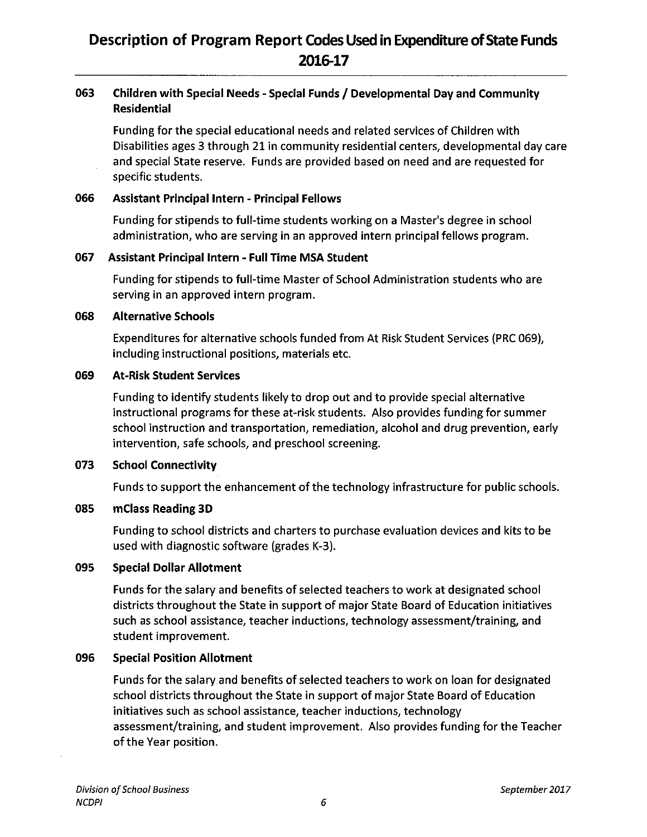### 063 Children with Special Needs - Special Funds / Developmental Day and Community **Residential**

Funding for the special educational needs and related services of Children with Disabilities ages 3 through 21 in community residential centers, developmental day care and special State reserve. Funds are provided based on need and are requested for specific students.

#### 066 **Assistant Principal Intern - Principal Fellows**

Funding for stipends to full-time students working on a Master's degree in school administration, who are serving in an approved intern principal fellows program.

#### 067 Assistant Principal Intern - Full Time MSA Student

Funding for stipends to full-time Master of School Administration students who are serving in an approved intern program.

#### 068 **Alternative Schools**

Expenditures for alternative schools funded from At Risk Student Services (PRC 069), including instructional positions, materials etc.

#### 069 **At-Risk Student Services**

Funding to identify students likely to drop out and to provide special alternative instructional programs for these at-risk students. Also provides funding for summer school instruction and transportation, remediation, alcohol and drug prevention, early intervention, safe schools, and preschool screening.

#### 073 **School Connectivity**

Funds to support the enhancement of the technology infrastructure for public schools.

#### 085 mClass Reading 3D

Funding to school districts and charters to purchase evaluation devices and kits to be used with diagnostic software (grades K-3).

#### 095 **Special Dollar Allotment**

Funds for the salary and benefits of selected teachers to work at designated school districts throughout the State in support of major State Board of Education initiatives such as school assistance, teacher inductions, technology assessment/training, and student improvement.

#### 096 **Special Position Allotment**

Funds for the salary and benefits of selected teachers to work on loan for designated school districts throughout the State in support of major State Board of Education initiatives such as school assistance, teacher inductions, technology assessment/training, and student improvement. Also provides funding for the Teacher of the Year position.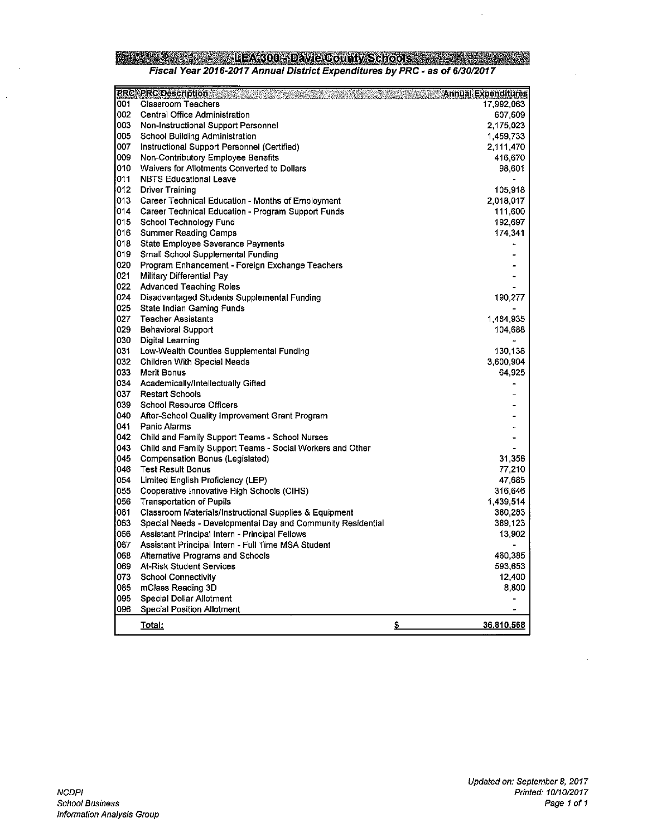### **Example 2001 - LEA 300 - David County Schools 2002 - 2003 - 2004 - 2004 - 2004 - 2004 - 2004 - 2004 - 2004 - 2004** Fiscal Year 2016-2017 Annual District Expenditures by PRC - as of 6/30/2017

|      | <b>PRC PRC Description Advisory Report Follows</b>          | Annual Expenditures      |
|------|-------------------------------------------------------------|--------------------------|
| 001  | <b>Classroom Teachers</b>                                   | 17,992.063               |
| 002  | Central Office Administration                               | 607 609                  |
| 003  | Non-Instructional Support Personnel                         | 2,175,023                |
| 005  | <b>School Building Administration</b>                       | 1,459.733                |
| 007  | Instructional Support Personnel (Certified)                 | 2,111.470                |
| 009  | Non-Contributory Employee Benefits                          | 416,670                  |
| 010  | Waivers for Allotments Converted to Dollars                 | 98.601                   |
| 011  | <b>NBTS Educational Leave</b>                               |                          |
| 012  | <b>Driver Training</b>                                      | 105.918                  |
| 013. | Career Technical Education - Months of Employment           | 2,018,017                |
| 014  | Career Technical Education - Program Support Funds          | 111,600                  |
| 015  | School Technology Fund                                      | 192,697                  |
| 016  | <b>Summer Reading Camps</b>                                 | 174.341                  |
| 018  | State Employee Severance Payments                           |                          |
| 019  | Small School Supplemental Funding                           |                          |
| 020  | Program Enhancement - Foreign Exchange Teachers             |                          |
| 021  | <b>Military Differential Pay</b>                            | ٠                        |
| 022  | <b>Advanced Teaching Roles</b>                              |                          |
| 024  | Disadvantaged Students Supplemental Funding                 | 190,277                  |
| 025  | State Indian Gaming Funds                                   |                          |
| 027  | <b>Teacher Assistants</b>                                   | 1,484.935                |
| 029  | <b>Behavioral Support</b>                                   | 104.688                  |
| 030  | <b>Digital Learning</b>                                     |                          |
| 031  | Low-Wealth Counties Supplemental Funding                    | 130.138                  |
| 032  | Children With Special Needs                                 | 3,600,904                |
| 033  | Merit Bonus                                                 | 64 925                   |
| 034  | Academically/Intellectually Gifted                          |                          |
| 037  | <b>Restart Schools</b>                                      |                          |
| 039. | <b>School Resource Officers</b>                             |                          |
| 040  | After-School Quality Improvement Grant Program              |                          |
| 041  | Panic Alarms                                                |                          |
| 042. | Child and Family Support Teams - School Nurses              |                          |
| 043  | Child and Family Support Teams - Social Workers and Other   |                          |
| 045  | Compensation Bonus (Legislated)                             | 31 358                   |
| 046. | <b>Test Result Bonus</b>                                    | 77 210                   |
| 054  | Limited English Proficiency (LEP)                           | 47 685                   |
| 055  | Cooperative Innovative High Schools (CIHS)                  | 316,646                  |
| 056  | <b>Transportation of Pupils</b>                             | 1,439.514                |
| 061  | Classroom Materials/Instructional Supplies & Equipment      | 380.283                  |
| 063  | Special Needs - Developmental Day and Community Residential | 389,123                  |
| 066  | Assistant Principal Intern - Principal Fellows              | 13.902                   |
| 067  | Assistant Principal Intern - Full Time MSA Student          |                          |
| 068  | <b>Alternative Programs and Schools</b>                     | 460,385                  |
| 069  | <b>At-Risk Student Services</b>                             | 593,653                  |
| 073  | <b>School Connectivity</b>                                  | 12,400                   |
| 085  | mClass Reading 3D                                           | 8,800                    |
| 095  | <b>Special Dollar Allotment</b>                             | $\blacksquare$           |
| 096  | Special Position Allotment                                  | $\overline{\phantom{a}}$ |
|      | <u>Total:</u>                                               | \$<br><u>36,810,568</u>  |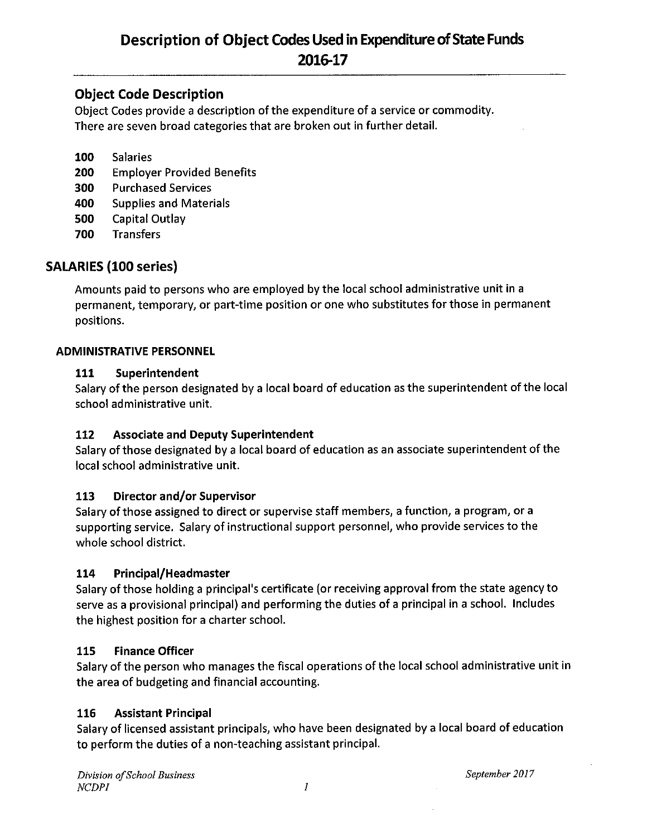### **Object Code Description**

Object Codes provide a description of the expenditure of a service or commodity. There are seven broad categories that are broken out in further detail.

- 100 **Salaries**
- 200 **Employer Provided Benefits**
- **Purchased Services** 300
- 400 **Supplies and Materials**
- 500 **Capital Outlay**
- 700 **Transfers**

### **SALARIES (100 series)**

Amounts paid to persons who are employed by the local school administrative unit in a permanent, temporary, or part-time position or one who substitutes for those in permanent positions.

### **ADMINISTRATIVE PERSONNEL**

#### 111 Superintendent

Salary of the person designated by a local board of education as the superintendent of the local school administrative unit.

#### 112 **Associate and Deputy Superintendent**

Salary of those designated by a local board of education as an associate superintendent of the local school administrative unit.

#### 113 Director and/or Supervisor

Salary of those assigned to direct or supervise staff members, a function, a program, or a supporting service. Salary of instructional support personnel, who provide services to the whole school district.

#### Principal/Headmaster 114

Salary of those holding a principal's certificate (or receiving approval from the state agency to serve as a provisional principal) and performing the duties of a principal in a school. Includes the highest position for a charter school.

#### 115 **Finance Officer**

Salary of the person who manages the fiscal operations of the local school administrative unit in the area of budgeting and financial accounting.

#### 116 **Assistant Principal**

Salary of licensed assistant principals, who have been designated by a local board of education to perform the duties of a non-teaching assistant principal.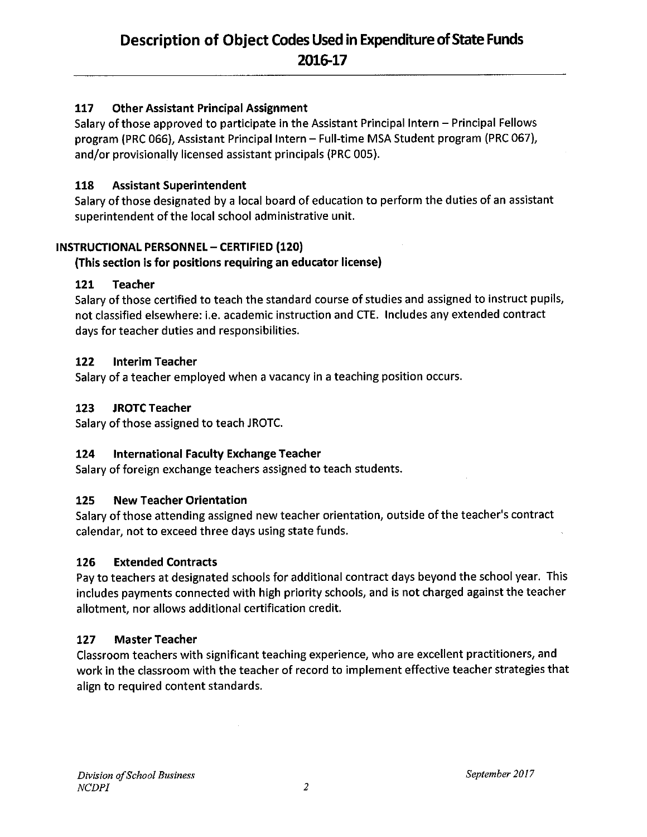#### **Other Assistant Principal Assignment** 117

Salary of those approved to participate in the Assistant Principal Intern - Principal Fellows program (PRC 066), Assistant Principal Intern - Full-time MSA Student program (PRC 067), and/or provisionally licensed assistant principals (PRC 005).

#### 118 **Assistant Superintendent**

Salary of those designated by a local board of education to perform the duties of an assistant superintendent of the local school administrative unit.

### **INSTRUCTIONAL PERSONNEL - CERTIFIED (120)**

### (This section is for positions requiring an educator license)

#### 121 **Teacher**

Salary of those certified to teach the standard course of studies and assigned to instruct pupils, not classified elsewhere: i.e. academic instruction and CTE. Includes any extended contract days for teacher duties and responsibilities.

#### 122 **Interim Teacher**

Salary of a teacher employed when a vacancy in a teaching position occurs.

#### 123 **JROTC Teacher**

Salary of those assigned to teach JROTC.

#### 124 International Faculty Exchange Teacher

Salary of foreign exchange teachers assigned to teach students.

#### 125 **New Teacher Orientation**

Salary of those attending assigned new teacher orientation, outside of the teacher's contract calendar, not to exceed three days using state funds.

#### 126 **Extended Contracts**

Pay to teachers at designated schools for additional contract days beyond the school year. This includes payments connected with high priority schools, and is not charged against the teacher allotment, nor allows additional certification credit.

#### 127 **Master Teacher**

Classroom teachers with significant teaching experience, who are excellent practitioners, and work in the classroom with the teacher of record to implement effective teacher strategies that align to required content standards.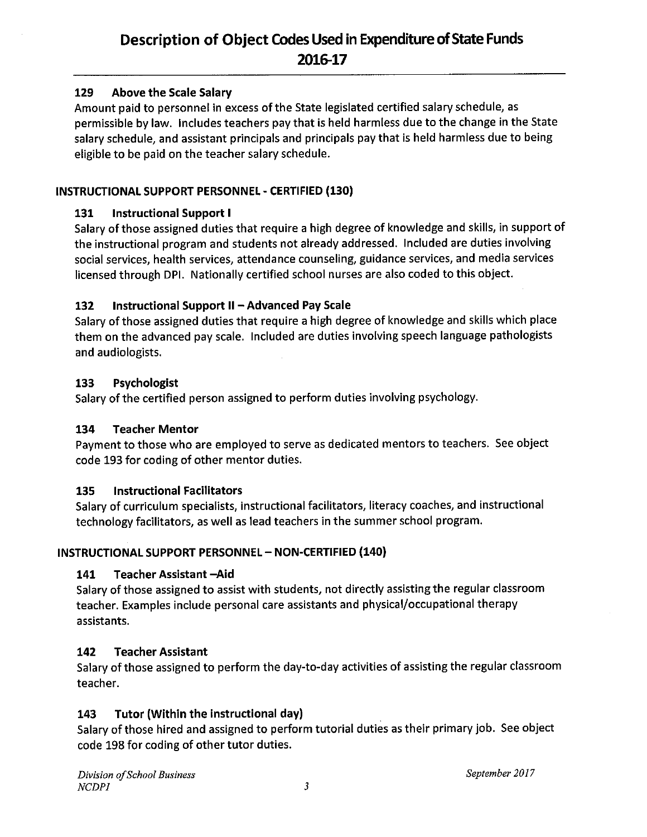#### **Above the Scale Salary** 129

Amount paid to personnel in excess of the State legislated certified salary schedule, as permissible by law. Includes teachers pay that is held harmless due to the change in the State salary schedule, and assistant principals and principals pay that is held harmless due to being eligible to be paid on the teacher salary schedule.

### INSTRUCTIONAL SUPPORT PERSONNEL - CERTIFIED (130)

#### 131 **Instructional Support I**

Salary of those assigned duties that require a high degree of knowledge and skills, in support of the instructional program and students not already addressed. Included are duties involving social services, health services, attendance counseling, guidance services, and media services licensed through DPI. Nationally certified school nurses are also coded to this object.

#### Instructional Support II - Advanced Pay Scale 132

Salary of those assigned duties that require a high degree of knowledge and skills which place them on the advanced pay scale. Included are duties involving speech language pathologists and audiologists.

#### 133 Psychologist

Salary of the certified person assigned to perform duties involving psychology.

#### 134 **Teacher Mentor**

Payment to those who are employed to serve as dedicated mentors to teachers. See object code 193 for coding of other mentor duties.

#### 135 **Instructional Facilitators**

Salary of curriculum specialists, instructional facilitators, literacy coaches, and instructional technology facilitators, as well as lead teachers in the summer school program.

### **INSTRUCTIONAL SUPPORT PERSONNEL - NON-CERTIFIED (140)**

#### 141 Teacher Assistant -Aid

Salary of those assigned to assist with students, not directly assisting the regular classroom teacher. Examples include personal care assistants and physical/occupational therapy assistants.

#### 142 **Teacher Assistant**

Salary of those assigned to perform the day-to-day activities of assisting the regular classroom teacher.

#### Tutor (Within the instructional day) 143

Salary of those hired and assigned to perform tutorial duties as their primary job. See object code 198 for coding of other tutor duties.

September 2017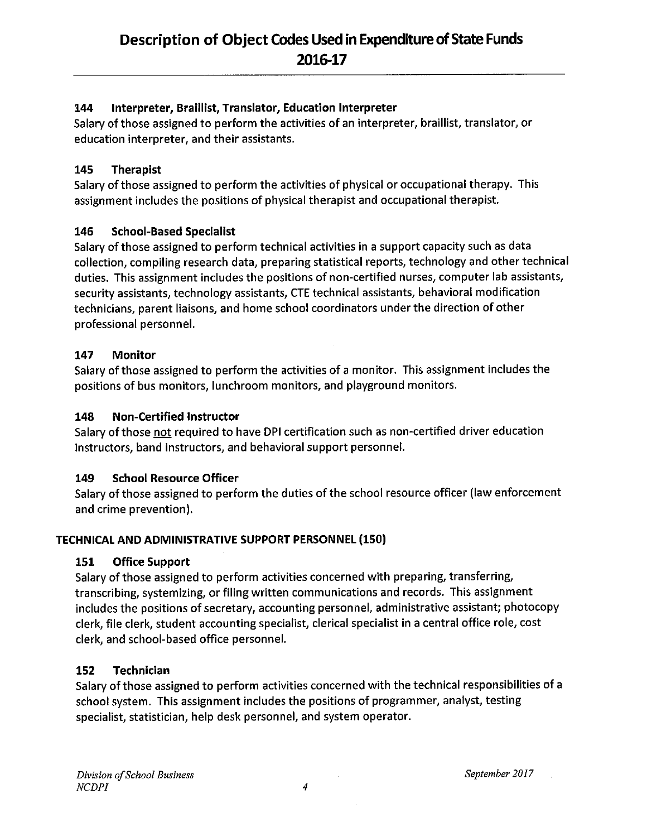#### Interpreter, Braillist, Translator, Education Interpreter 144

Salary of those assigned to perform the activities of an interpreter, braillist, translator, or education interpreter, and their assistants.

#### 145 **Therapist**

Salary of those assigned to perform the activities of physical or occupational therapy. This assignment includes the positions of physical therapist and occupational therapist.

#### 146 **School-Based Specialist**

Salary of those assigned to perform technical activities in a support capacity such as data collection, compiling research data, preparing statistical reports, technology and other technical duties. This assignment includes the positions of non-certified nurses, computer lab assistants, security assistants, technology assistants, CTE technical assistants, behavioral modification technicians, parent liaisons, and home school coordinators under the direction of other professional personnel.

#### 147 **Monitor**

Salary of those assigned to perform the activities of a monitor. This assignment includes the positions of bus monitors, lunchroom monitors, and playground monitors.

#### 148 **Non-Certified Instructor**

Salary of those not required to have DPI certification such as non-certified driver education instructors, band instructors, and behavioral support personnel.

#### 149 **School Resource Officer**

Salary of those assigned to perform the duties of the school resource officer (law enforcement and crime prevention).

### TECHNICAL AND ADMINISTRATIVE SUPPORT PERSONNEL (150)

#### 151 **Office Support**

Salary of those assigned to perform activities concerned with preparing, transferring, transcribing, systemizing, or filing written communications and records. This assignment includes the positions of secretary, accounting personnel, administrative assistant; photocopy clerk, file clerk, student accounting specialist, clerical specialist in a central office role, cost clerk, and school-based office personnel.

#### Technician 152

Salary of those assigned to perform activities concerned with the technical responsibilities of a school system. This assignment includes the positions of programmer, analyst, testing specialist, statistician, help desk personnel, and system operator.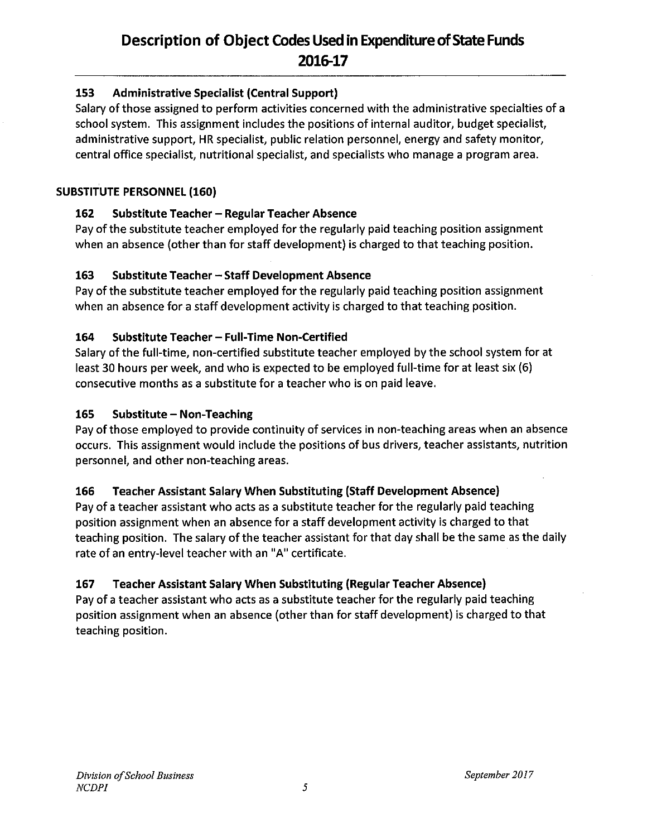#### 153 **Administrative Specialist (Central Support)**

Salary of those assigned to perform activities concerned with the administrative specialties of a school system. This assignment includes the positions of internal auditor, budget specialist, administrative support, HR specialist, public relation personnel, energy and safety monitor, central office specialist, nutritional specialist, and specialists who manage a program area.

### **SUBSTITUTE PERSONNEL (160)**

#### 162 **Substitute Teacher – Regular Teacher Absence**

Pay of the substitute teacher employed for the regularly paid teaching position assignment when an absence (other than for staff development) is charged to that teaching position.

#### 163 **Substitute Teacher - Staff Development Absence**

Pay of the substitute teacher employed for the regularly paid teaching position assignment when an absence for a staff development activity is charged to that teaching position.

#### 164 Substitute Teacher - Full-Time Non-Certified

Salary of the full-time, non-certified substitute teacher employed by the school system for at least 30 hours per week, and who is expected to be employed full-time for at least six (6) consecutive months as a substitute for a teacher who is on paid leave.

#### 165 **Substitute - Non-Teaching**

Pay of those employed to provide continuity of services in non-teaching areas when an absence occurs. This assignment would include the positions of bus drivers, teacher assistants, nutrition personnel, and other non-teaching areas.

#### 166 **Teacher Assistant Salary When Substituting (Staff Development Absence)**

Pay of a teacher assistant who acts as a substitute teacher for the regularly paid teaching position assignment when an absence for a staff development activity is charged to that teaching position. The salary of the teacher assistant for that day shall be the same as the daily rate of an entry-level teacher with an "A" certificate.

#### **Teacher Assistant Salary When Substituting (Regular Teacher Absence)** 167

Pay of a teacher assistant who acts as a substitute teacher for the regularly paid teaching position assignment when an absence (other than for staff development) is charged to that teaching position.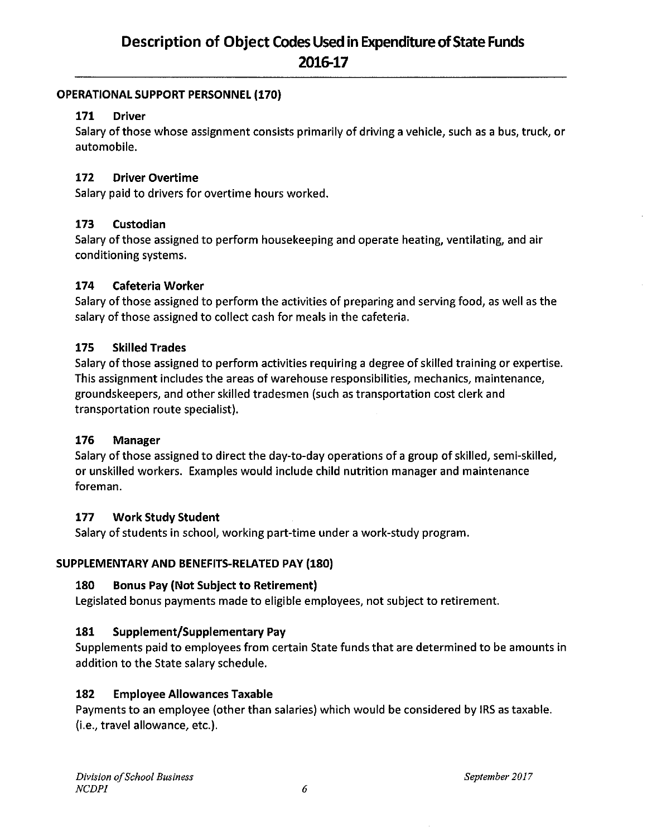### **OPERATIONAL SUPPORT PERSONNEL (170)**

#### 171 **Driver**

Salary of those whose assignment consists primarily of driving a vehicle, such as a bus, truck, or automobile.

#### 172 **Driver Overtime**

Salary paid to drivers for overtime hours worked.

#### 173 Custodian

Salary of those assigned to perform housekeeping and operate heating, ventilating, and air conditioning systems.

#### 174 **Cafeteria Worker**

Salary of those assigned to perform the activities of preparing and serving food, as well as the salary of those assigned to collect cash for meals in the cafeteria.

#### 175 **Skilled Trades**

Salary of those assigned to perform activities requiring a degree of skilled training or expertise. This assignment includes the areas of warehouse responsibilities, mechanics, maintenance, groundskeepers, and other skilled tradesmen (such as transportation cost clerk and transportation route specialist).

#### 176 **Manager**

Salary of those assigned to direct the day-to-day operations of a group of skilled, semi-skilled, or unskilled workers. Examples would include child nutrition manager and maintenance foreman.

#### 177 **Work Study Student**

Salary of students in school, working part-time under a work-study program.

### SUPPLEMENTARY AND BENEFITS-RELATED PAY (180)

#### 180 **Bonus Pay (Not Subject to Retirement)**

Legislated bonus payments made to eligible employees, not subject to retirement.

#### 181 Supplement/Supplementary Pay

Supplements paid to employees from certain State funds that are determined to be amounts in addition to the State salary schedule.

#### **Employee Allowances Taxable** 182

Payments to an employee (other than salaries) which would be considered by IRS as taxable. (i.e., travel allowance, etc.).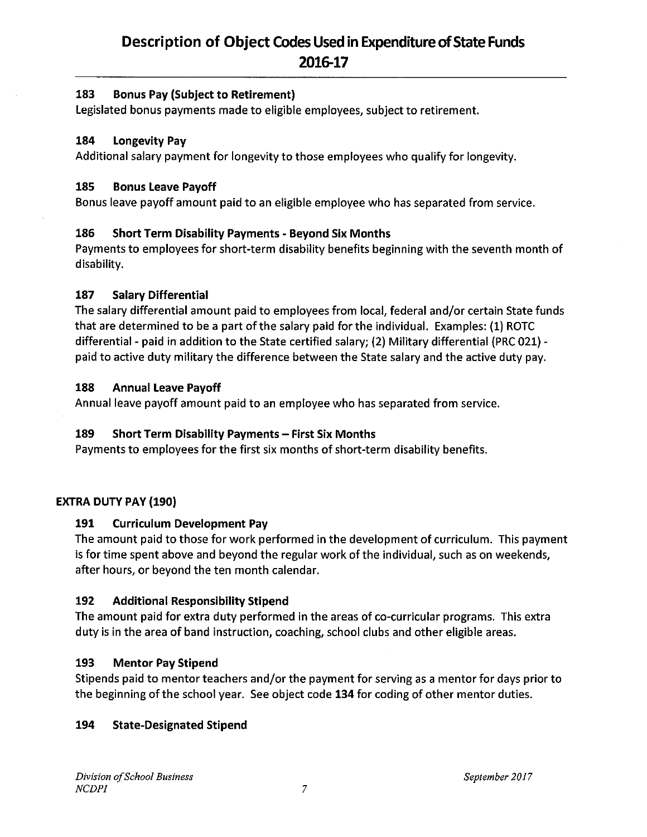#### 183 **Bonus Pay (Subject to Retirement)**

Legislated bonus payments made to eligible employees, subject to retirement.

#### 184 **Longevity Pay**

Additional salary payment for longevity to those employees who qualify for longevity.

#### 185 **Bonus Leave Payoff**

Bonus leave payoff amount paid to an eligible employee who has separated from service.

#### 186 **Short Term Disability Payments - Beyond Six Months**

Payments to employees for short-term disability benefits beginning with the seventh month of disability.

#### 187 **Salary Differential**

The salary differential amount paid to employees from local, federal and/or certain State funds that are determined to be a part of the salary paid for the individual. Examples: (1) ROTC differential - paid in addition to the State certified salary; (2) Military differential (PRC 021) paid to active duty military the difference between the State salary and the active duty pay.

#### 188 **Annual Leave Payoff**

Annual leave payoff amount paid to an employee who has separated from service.

#### 189 Short Term Disability Payments - First Six Months

Payments to employees for the first six months of short-term disability benefits.

### **EXTRA DUTY PAY (190)**

#### 191 **Curriculum Development Pay**

The amount paid to those for work performed in the development of curriculum. This payment is for time spent above and beyond the regular work of the individual, such as on weekends, after hours, or beyond the ten month calendar.

#### 192 **Additional Responsibility Stipend**

The amount paid for extra duty performed in the areas of co-curricular programs. This extra duty is in the area of band instruction, coaching, school clubs and other eligible areas.

#### 193 **Mentor Pay Stipend**

Stipends paid to mentor teachers and/or the payment for serving as a mentor for days prior to the beginning of the school year. See object code 134 for coding of other mentor duties.

#### 194 **State-Designated Stipend**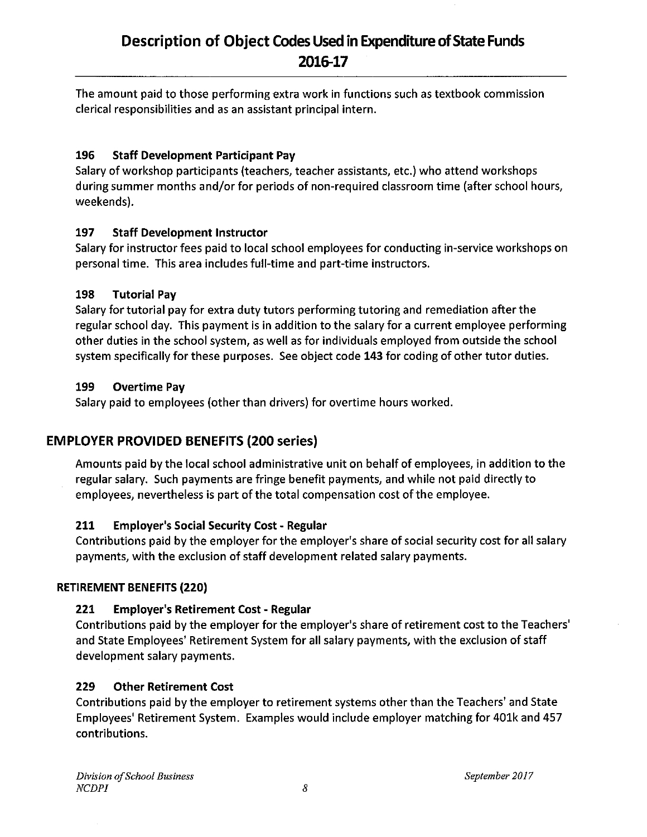The amount paid to those performing extra work in functions such as textbook commission clerical responsibilities and as an assistant principal intern.

#### 196 **Staff Development Participant Pay**

Salary of workshop participants (teachers, teacher assistants, etc.) who attend workshops during summer months and/or for periods of non-required classroom time (after school hours, weekends).

#### 197 **Staff Development Instructor**

Salary for instructor fees paid to local school employees for conducting in-service workshops on personal time. This area includes full-time and part-time instructors.

#### 198 **Tutorial Pay**

Salary for tutorial pay for extra duty tutors performing tutoring and remediation after the regular school day. This payment is in addition to the salary for a current employee performing other duties in the school system, as well as for individuals employed from outside the school system specifically for these purposes. See object code 143 for coding of other tutor duties.

#### 199 **Overtime Pay**

Salary paid to employees (other than drivers) for overtime hours worked.

### **EMPLOYER PROVIDED BENEFITS (200 series)**

Amounts paid by the local school administrative unit on behalf of employees, in addition to the regular salary. Such payments are fringe benefit payments, and while not paid directly to employees, nevertheless is part of the total compensation cost of the employee.

#### 211 **Employer's Social Security Cost - Regular**

Contributions paid by the employer for the employer's share of social security cost for all salary payments, with the exclusion of staff development related salary payments.

### **RETIREMENT BENEFITS (220)**

#### 221 **Employer's Retirement Cost - Regular**

Contributions paid by the employer for the employer's share of retirement cost to the Teachers' and State Employees' Retirement System for all salary payments, with the exclusion of staff development salary payments.

#### 229 **Other Retirement Cost**

Contributions paid by the employer to retirement systems other than the Teachers' and State Employees' Retirement System. Examples would include employer matching for 401k and 457 contributions.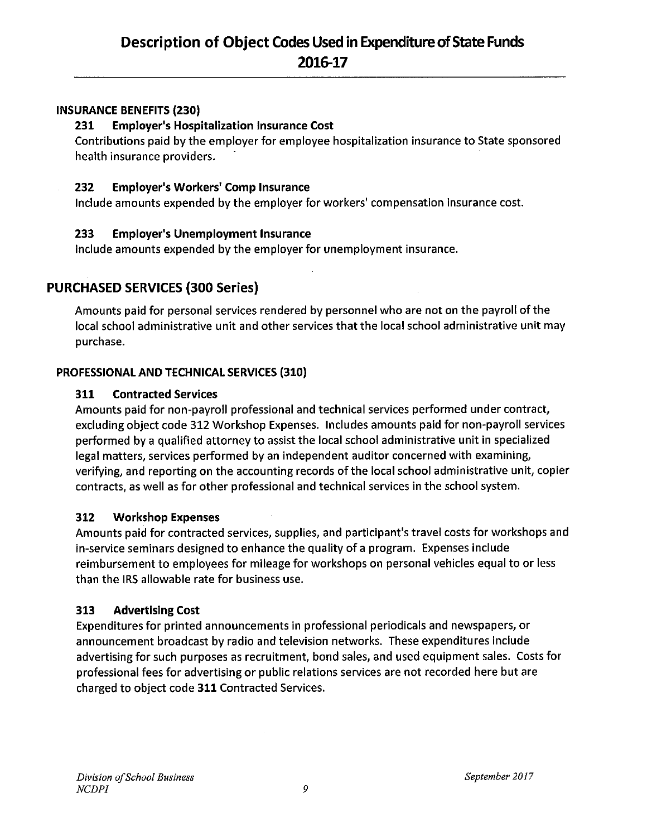### **INSURANCE BENEFITS (230)**

#### **Employer's Hospitalization Insurance Cost** 231

Contributions paid by the employer for employee hospitalization insurance to State sponsored health insurance providers.

#### 232 **Employer's Workers' Comp Insurance**

Include amounts expended by the employer for workers' compensation insurance cost.

#### 233 **Employer's Unemployment Insurance**

include amounts expended by the employer for unemployment insurance.

### **PURCHASED SERVICES (300 Series)**

Amounts paid for personal services rendered by personnel who are not on the payroll of the local school administrative unit and other services that the local school administrative unit may purchase.

### PROFESSIONAL AND TECHNICAL SERVICES (310)

#### 311 **Contracted Services**

Amounts paid for non-payroll professional and technical services performed under contract, excluding object code 312 Workshop Expenses. Includes amounts paid for non-payroll services performed by a qualified attorney to assist the local school administrative unit in specialized legal matters, services performed by an independent auditor concerned with examining, verifying, and reporting on the accounting records of the local school administrative unit, copier contracts, as well as for other professional and technical services in the school system.

#### 312 **Workshop Expenses**

Amounts paid for contracted services, supplies, and participant's travel costs for workshops and in-service seminars designed to enhance the quality of a program. Expenses include reimbursement to employees for mileage for workshops on personal vehicles equal to or less than the IRS allowable rate for business use.

#### 313 **Advertising Cost**

Expenditures for printed announcements in professional periodicals and newspapers, or announcement broadcast by radio and television networks. These expenditures include advertising for such purposes as recruitment, bond sales, and used equipment sales. Costs for professional fees for advertising or public relations services are not recorded here but are charged to object code 311 Contracted Services.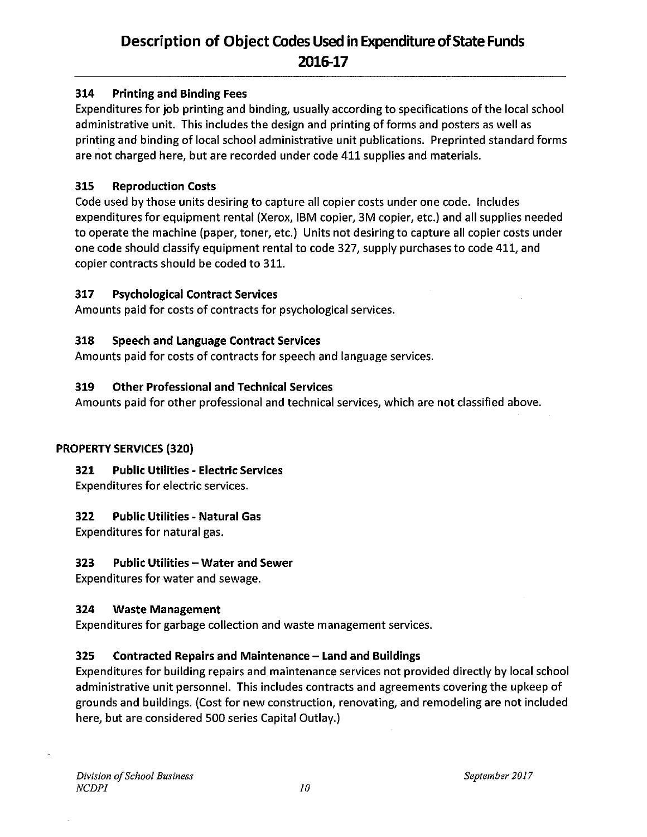#### 314 **Printing and Binding Fees**

Expenditures for job printing and binding, usually according to specifications of the local school administrative unit. This includes the design and printing of forms and posters as well as printing and binding of local school administrative unit publications. Preprinted standard forms are not charged here, but are recorded under code 411 supplies and materials.

#### 315 **Reproduction Costs**

Code used by those units desiring to capture all copier costs under one code. Includes expenditures for equipment rental (Xerox, IBM copier, 3M copier, etc.) and all supplies needed to operate the machine (paper, toner, etc.) Units not desiring to capture all copier costs under one code should classify equipment rental to code 327, supply purchases to code 411, and copier contracts should be coded to 311.

#### 317 **Psychological Contract Services**

Amounts paid for costs of contracts for psychological services.

#### 318 **Speech and Language Contract Services**

Amounts paid for costs of contracts for speech and language services.

#### 319 **Other Professional and Technical Services**

Amounts paid for other professional and technical services, which are not classified above.

### **PROPERTY SERVICES (320)**

#### **Public Utilities - Electric Services** 321

Expenditures for electric services.

#### 322 **Public Utilities - Natural Gas**

Expenditures for natural gas.

#### 323 **Public Utilities - Water and Sewer**

Expenditures for water and sewage.

#### 324 **Waste Management**

Expenditures for garbage collection and waste management services.

#### 325 **Contracted Repairs and Maintenance - Land and Buildings**

Expenditures for building repairs and maintenance services not provided directly by local school administrative unit personnel. This includes contracts and agreements covering the upkeep of grounds and buildings. (Cost for new construction, renovating, and remodeling are not included here, but are considered 500 series Capital Outlay.)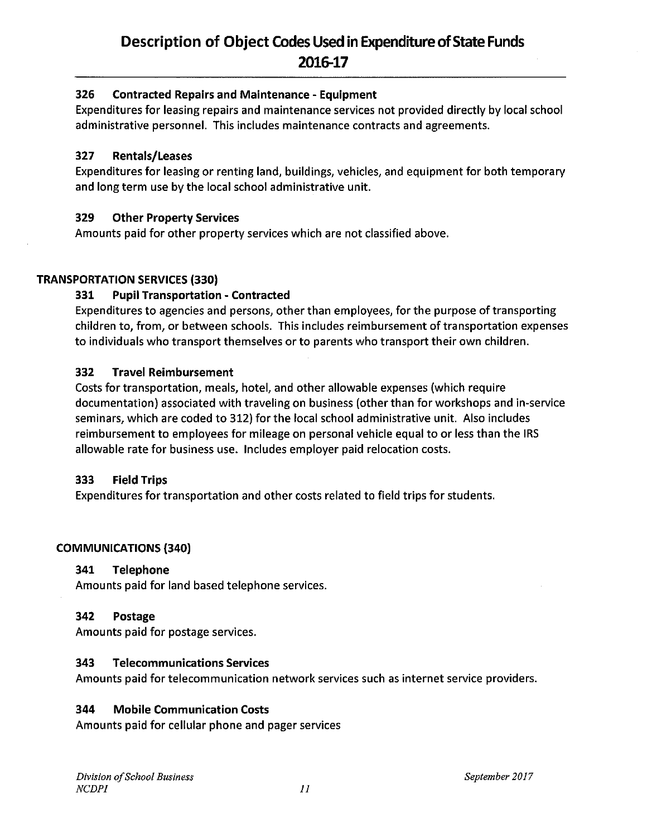#### 326 **Contracted Repairs and Maintenance - Equipment**

Expenditures for leasing repairs and maintenance services not provided directly by local school administrative personnel. This includes maintenance contracts and agreements.

#### 327 **Rentals/Leases**

Expenditures for leasing or renting land, buildings, vehicles, and equipment for both temporary and long term use by the local school administrative unit.

#### 329 **Other Property Services**

Amounts paid for other property services which are not classified above.

### **TRANSPORTATION SERVICES (330)**

#### 331 **Pupil Transportation - Contracted**

Expenditures to agencies and persons, other than employees, for the purpose of transporting children to, from, or between schools. This includes reimbursement of transportation expenses to individuals who transport themselves or to parents who transport their own children.

#### 332 **Travel Reimbursement**

Costs for transportation, meals, hotel, and other allowable expenses (which require documentation) associated with traveling on business (other than for workshops and in-service seminars, which are coded to 312) for the local school administrative unit. Also includes reimbursement to employees for mileage on personal vehicle equal to or less than the IRS allowable rate for business use. Includes employer paid relocation costs.

#### **Field Trips** 333

Expenditures for transportation and other costs related to field trips for students.

### **COMMUNICATIONS (340)**

#### **Telephone** 341

Amounts paid for land based telephone services.

#### Postage 342

Amounts paid for postage services.

#### 343 **Telecommunications Services**

Amounts paid for telecommunication network services such as internet service providers.

#### 344 **Mobile Communication Costs**

Amounts paid for cellular phone and pager services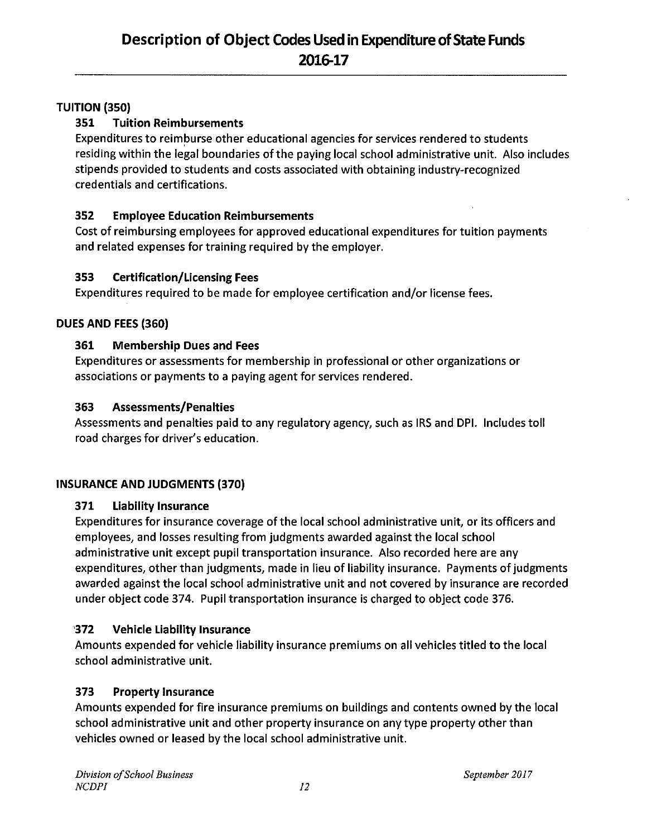### **TUITION (350)**

#### 351 **Tuition Reimbursements**

Expenditures to reimburse other educational agencies for services rendered to students residing within the legal boundaries of the paying local school administrative unit. Also includes stipends provided to students and costs associated with obtaining industry-recognized credentials and certifications.

#### 352 **Employee Education Reimbursements**

Cost of reimbursing employees for approved educational expenditures for tuition payments and related expenses for training required by the employer.

#### 353 **Certification/Licensing Fees**

Expenditures required to be made for employee certification and/or license fees.

### DUES AND FEES (360)

#### 361 **Membership Dues and Fees**

Expenditures or assessments for membership in professional or other organizations or associations or payments to a paying agent for services rendered.

#### 363 **Assessments/Penalties**

Assessments and penalties paid to any regulatory agency, such as IRS and DPI. Includes toll road charges for driver's education.

### **INSURANCE AND JUDGMENTS (370)**

#### 371 **Liability Insurance**

Expenditures for insurance coverage of the local school administrative unit, or its officers and employees, and losses resulting from judgments awarded against the local school administrative unit except pupil transportation insurance. Also recorded here are any expenditures, other than judgments, made in lieu of liability insurance. Payments of judgments awarded against the local school administrative unit and not covered by insurance are recorded under object code 374. Pupil transportation insurance is charged to object code 376.

#### $372$ **Vehicle Liability Insurance**

Amounts expended for vehicle liability insurance premiums on all vehicles titled to the local school administrative unit.

#### 373 **Property Insurance**

Amounts expended for fire insurance premiums on buildings and contents owned by the local school administrative unit and other property insurance on any type property other than vehicles owned or leased by the local school administrative unit.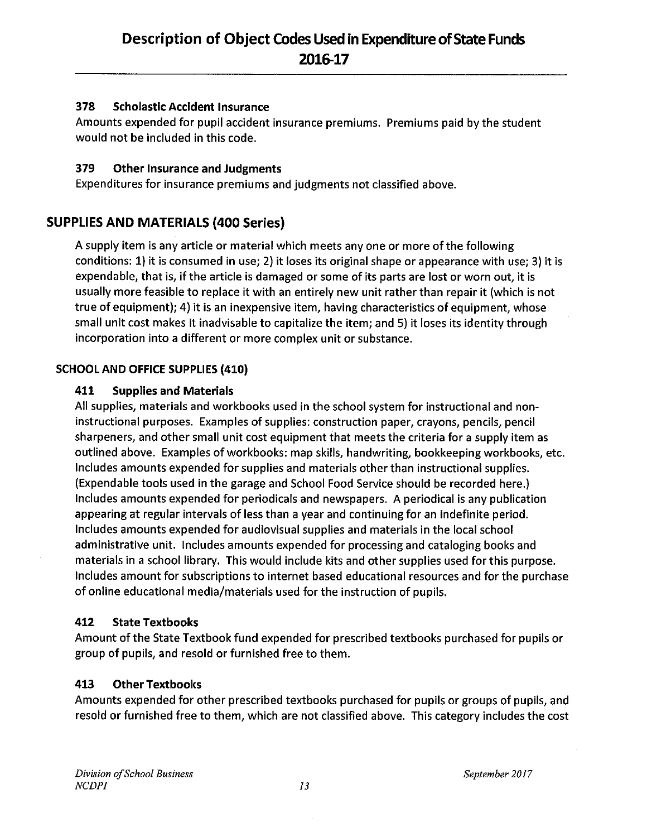#### 378 **Scholastic Accident Insurance**

Amounts expended for pupil accident insurance premiums. Premiums paid by the student would not be included in this code.

#### 379 **Other Insurance and Judgments**

Expenditures for insurance premiums and judgments not classified above.

### **SUPPLIES AND MATERIALS (400 Series)**

A supply item is any article or material which meets any one or more of the following conditions: 1) it is consumed in use; 2) it loses its original shape or appearance with use; 3) it is expendable, that is, if the article is damaged or some of its parts are lost or worn out, it is usually more feasible to replace it with an entirely new unit rather than repair it (which is not true of equipment); 4) it is an inexpensive item, having characteristics of equipment, whose small unit cost makes it inadvisable to capitalize the item; and 5) it loses its identity through incorporation into a different or more complex unit or substance.

### **SCHOOL AND OFFICE SUPPLIES (410)**

#### 411 **Supplies and Materials**

All supplies, materials and workbooks used in the school system for instructional and noninstructional purposes. Examples of supplies: construction paper, crayons, pencils, pencil sharpeners, and other small unit cost equipment that meets the criteria for a supply item as outlined above. Examples of workbooks: map skills, handwriting, bookkeeping workbooks, etc. Includes amounts expended for supplies and materials other than instructional supplies. (Expendable tools used in the garage and School Food Service should be recorded here.) Includes amounts expended for periodicals and newspapers. A periodical is any publication appearing at regular intervals of less than a year and continuing for an indefinite period. Includes amounts expended for audiovisual supplies and materials in the local school administrative unit. Includes amounts expended for processing and cataloging books and materials in a school library. This would include kits and other supplies used for this purpose. Includes amount for subscriptions to internet based educational resources and for the purchase of online educational media/materials used for the instruction of pupils.

#### 412 **State Textbooks**

Amount of the State Textbook fund expended for prescribed textbooks purchased for pupils or group of pupils, and resold or furnished free to them.

#### 413 **Other Textbooks**

Amounts expended for other prescribed textbooks purchased for pupils or groups of pupils, and resold or furnished free to them, which are not classified above. This category includes the cost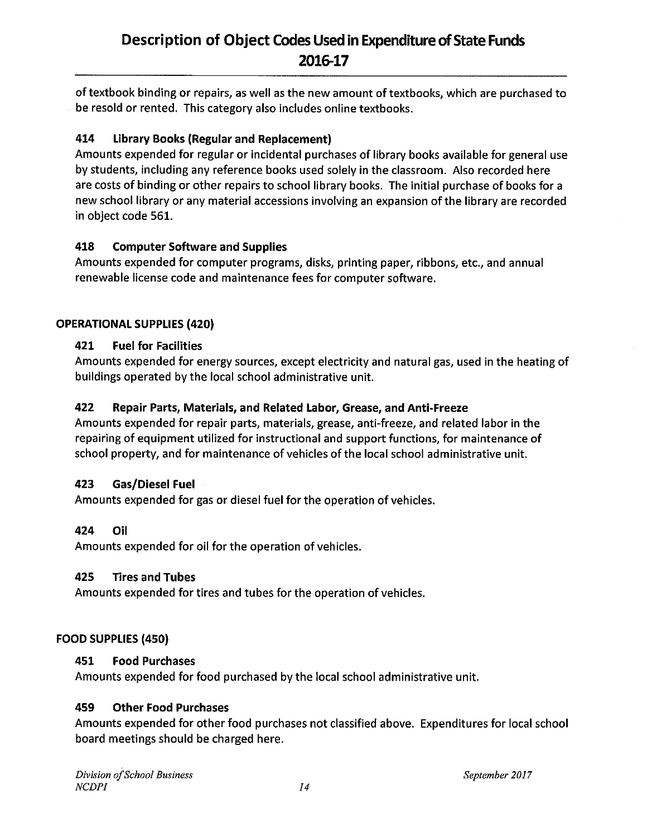of textbook binding or repairs, as well as the new amount of textbooks, which are purchased to be resold or rented. This category also includes online textbooks.

#### 414 **Library Books (Regular and Replacement)**

Amounts expended for regular or incidental purchases of library books available for general use by students, including any reference books used solely in the classroom. Also recorded here are costs of binding or other repairs to school library books. The initial purchase of books for a new school library or any material accessions involving an expansion of the library are recorded in object code 561.

#### 418 **Computer Software and Supplies**

Amounts expended for computer programs, disks, printing paper, ribbons, etc., and annual renewable license code and maintenance fees for computer software.

### **OPERATIONAL SUPPLIES (420)**

#### 421 **Fuel for Facilities**

Amounts expended for energy sources, except electricity and natural gas, used in the heating of buildings operated by the local school administrative unit.

#### 422 Repair Parts, Materials, and Related Labor, Grease, and Anti-Freeze

Amounts expended for repair parts, materials, grease, anti-freeze, and related labor in the repairing of equipment utilized for instructional and support functions, for maintenance of school property, and for maintenance of vehicles of the local school administrative unit.

#### Gas/Diesel Fuel 423

Amounts expended for gas or diesel fuel for the operation of vehicles.

#### 424 Oil

Amounts expended for oil for the operation of vehicles.

#### 425 **Tires and Tubes**

Amounts expended for tires and tubes for the operation of vehicles.

### FOOD SUPPLIES (450)

#### 451 **Food Purchases**

Amounts expended for food purchased by the local school administrative unit.

#### 459 **Other Food Purchases**

Amounts expended for other food purchases not classified above. Expenditures for local school board meetings should be charged here.

September 2017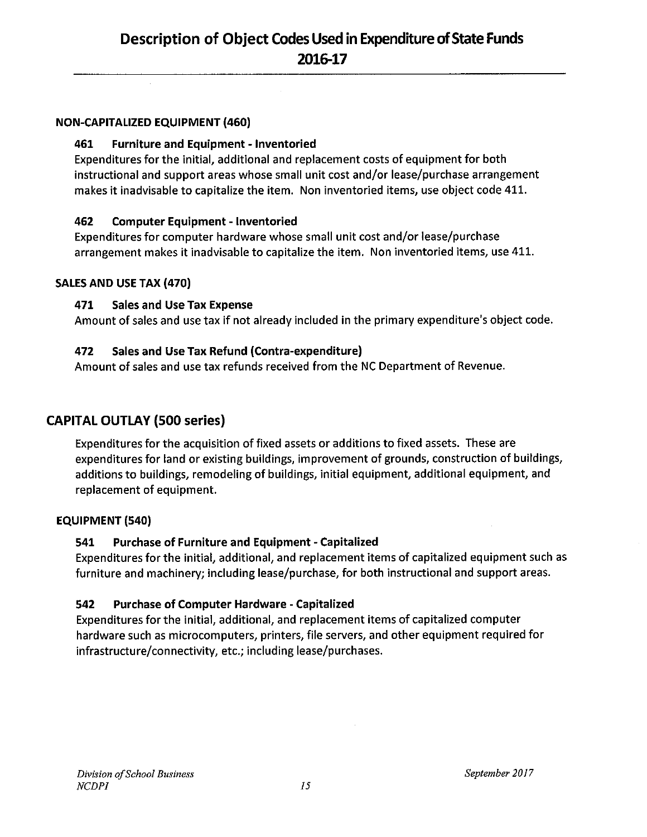### **NON-CAPITALIZED EQUIPMENT (460)**

#### 461 **Furniture and Equipment - Inventoried**

Expenditures for the initial, additional and replacement costs of equipment for both instructional and support areas whose small unit cost and/or lease/purchase arrangement makes it inadvisable to capitalize the item. Non inventoried items, use object code 411.

#### 462 **Computer Equipment - Inventoried**

Expenditures for computer hardware whose small unit cost and/or lease/purchase arrangement makes it inadvisable to capitalize the item. Non inventoried items, use 411.

### SALES AND USE TAX (470)

#### 471 **Sales and Use Tax Expense**

Amount of sales and use tax if not already included in the primary expenditure's object code.

#### Sales and Use Tax Refund (Contra-expenditure) 472

Amount of sales and use tax refunds received from the NC Department of Revenue.

### **CAPITAL OUTLAY (500 series)**

Expenditures for the acquisition of fixed assets or additions to fixed assets. These are expenditures for land or existing buildings, improvement of grounds, construction of buildings, additions to buildings, remodeling of buildings, initial equipment, additional equipment, and replacement of equipment.

### **EQUIPMENT (540)**

#### 541 **Purchase of Furniture and Equipment - Capitalized**

Expenditures for the initial, additional, and replacement items of capitalized equipment such as furniture and machinery; including lease/purchase, for both instructional and support areas.

#### 542 **Purchase of Computer Hardware - Capitalized**

Expenditures for the initial, additional, and replacement items of capitalized computer hardware such as microcomputers, printers, file servers, and other equipment required for infrastructure/connectivity, etc.; including lease/purchases.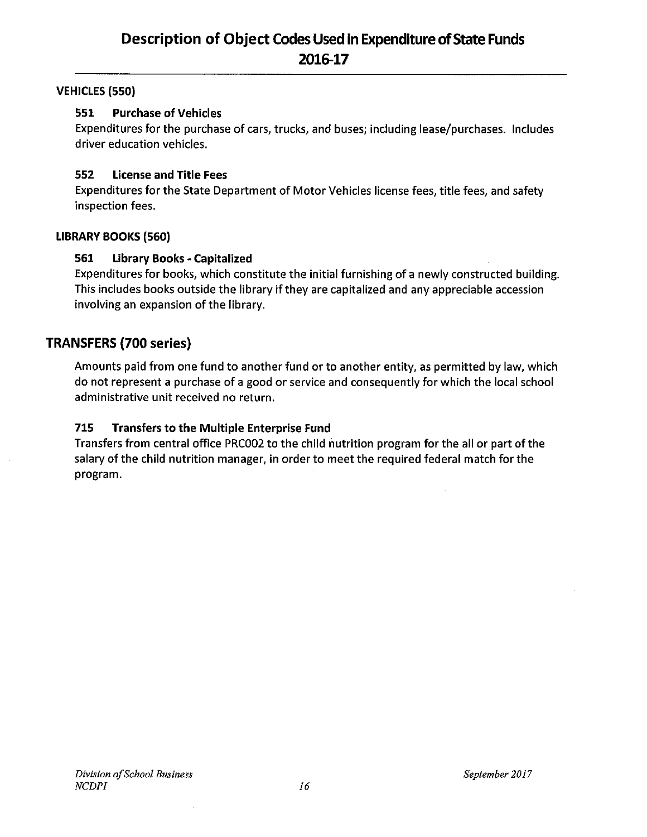### **VEHICLES (550)**

#### 551 **Purchase of Vehicles**

Expenditures for the purchase of cars, trucks, and buses; including lease/purchases. Includes driver education vehicles.

#### 552 **License and Title Fees**

Expenditures for the State Department of Motor Vehicles license fees, title fees, and safety inspection fees.

### **LIBRARY BOOKS (560)**

#### 561 **Library Books - Capitalized**

Expenditures for books, which constitute the initial furnishing of a newly constructed building. This includes books outside the library if they are capitalized and any appreciable accession involving an expansion of the library.

### **TRANSFERS (700 series)**

Amounts paid from one fund to another fund or to another entity, as permitted by law, which do not represent a purchase of a good or service and consequently for which the local school administrative unit received no return.

#### 715 **Transfers to the Multiple Enterprise Fund**

Transfers from central office PRC002 to the child nutrition program for the all or part of the salary of the child nutrition manager, in order to meet the required federal match for the program.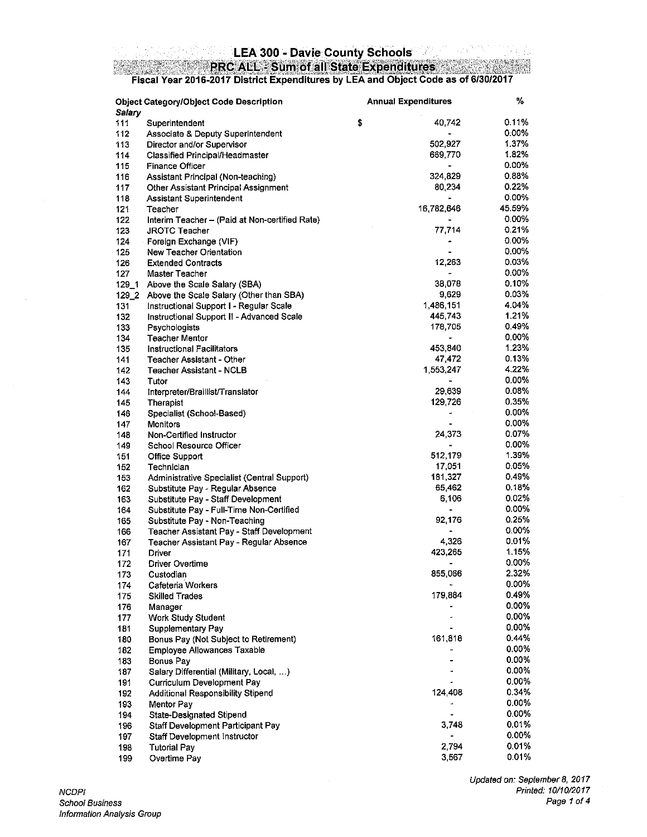# LEA 300 - Davie County Schools<br>PRC ALL - Sum of all State Expenditures<br>Fiscal Year 2016-2017 District Expenditures by LEA and Object Code as of 6/30/2017

| Salary    | <b>Object Category/Object Code Description</b> | <b>Annual Expenditures</b> | ℅        |
|-----------|------------------------------------------------|----------------------------|----------|
| 111       | Superintendent                                 | \$<br>40,742               | 0.11%    |
| 112       | Associate & Deputy Superintendent              |                            | 0.00%    |
| 113       | Director and/or Supervisor                     | 502,927                    | 1.37%    |
| 114       | Classified Principal/Headmaster                | 669,770                    | 1.82%    |
| 115       | <b>Finance Officer</b>                         |                            | $0.00\%$ |
| 116       | Assistant Principal (Non-teaching)             | 324,829                    | 0.88%    |
| 117       | Other Assistant Principal Assignment           | 80,234                     | 0.22%    |
| 118       | Assistant Superintendent                       | $\blacksquare$             | 0.00%    |
| 121       | Teacher                                        | 16,782,646                 | 45.59%   |
| 122       | Interim Teacher - (Paid at Non-certified Rate) |                            | 0.00%    |
| 123       | <b>JROTC Teacher</b>                           | 77,714                     | 0.21%    |
| 124       | Foreign Exchange (VIF)                         |                            | 0.00%    |
| 125       | New Teacher Orientation                        |                            | $0.00\%$ |
| 126       | <b>Extended Contracts</b>                      | 12,263                     | 0.03%    |
| 127       | Master Teacher                                 | ÷                          | 0.00%    |
| $129 - 1$ | Above the Scale Salary (SBA)                   | 38,078                     | 0.10%    |
| 129_2     | Above the Scale Salary (Other than SBA)        | 9,629                      | 0.03%    |
| 131       | Instructional Support I - Regular Scale        | 1,486,151                  | 4.04%    |
| 132       | Instructional Support II - Advanced Scale      | 445,743                    | 1.21%    |
| 133       | Psychologists                                  | 178,705                    | 0.49%    |
| 134       | <b>Teacher Mentor</b>                          | $\blacksquare$             | 0.00%    |
| 135       | <b>Instructional Facilitators</b>              | 453,840                    | 1.23%    |
| 141       | Teacher Assistant - Other                      | 47,472                     | 0.13%    |
| 142       | <b>Teacher Assistant - NCLB</b>                | 1,553,247                  | 4.22%    |
| 143       | Tutor                                          |                            | 0.00%    |
| 144       | Interpreter/Braillist/Translator               | 29,639                     | 0.08%    |
| 145       | Therapist                                      | 129,726                    | 0.35%    |
| 146       | Specialist (School-Based)                      | $\blacksquare$             | $0.00\%$ |
| 147       | <b>Monitors</b>                                | $\blacksquare$             | $0.00\%$ |
| 148       | Non-Certified Instructor                       | 24,373                     | 0.07%    |
| 149       | School Resource Officer                        |                            | 0.00%    |
| 151       | Office Support                                 | 512,179                    | 1.39%    |
| 152       | Technician                                     | 17,051                     | 0.05%    |
| 153       | Administrative Specialist (Central Support)    | 181,327                    | 0.49%    |
| 162       | Substitute Pay - Regular Absence               | 65,462                     | 0.18%    |
| 163       | Substitute Pay - Staff Development             | 6,106                      | $0.02\%$ |
| 164       | Substitute Pay - Full-Time Non-Certified       |                            | 0.00%    |
| 165       | Substitute Pay - Non-Teaching                  | 92,176                     | 0.25%    |
| 166       | Teacher Assistant Pay - Staff Development      |                            | 0.00%    |
| 167       | Teacher Assistant Pay - Regular Absence        | 4,326                      | 0.01%    |
| 171       | Driver                                         | 423,265                    | 1.15%    |
| 172       | <b>Driver Overtime</b>                         | $\overline{\phantom{a}}$   | 0.00%    |
| 173       | Custodian                                      | 855,066                    | 2.32%    |
| 174       | Cafeteria Workers                              |                            | 0.00%    |
| 175       | <b>Skilled Trades</b>                          | 179,884                    | 0.49%    |
| 176       | Manager                                        |                            | 0.00%    |
| 177       | <b>Work Study Student</b>                      |                            | 0.00%    |
| 181       | Supplementary Pay                              |                            | 0.00%    |
| 180       | Bonus Pay (Not Subject to Retirement)          | 161,818                    | 0.44%    |
| 182       | Employee Allowances Taxable                    |                            | 0.00%    |
| 183       | Bonus Pay                                      |                            | 0.00%    |
| 187       | Salary Differential (Military, Local, )        |                            | $0.00\%$ |
| 191       | Curriculum Development Pay                     |                            | 0.00%    |
| 192       | Additional Responsibility Stipend              | 124,408                    | 0.34%    |
| 193       | Mentor Pay                                     |                            | 0.00%    |
| 194       | <b>State-Designated Stipend</b>                |                            | 0.00%    |
| 196       | Staff Development Participant Pay              | 3,748                      | 0.01%    |
| 197       | Staff Development Instructor                   |                            | $0.00\%$ |
| 198       | <b>Tutorial Pay</b>                            | 2,794                      | 0.01%    |
| 199       | Overtime Pay                                   | 3,567                      | 0.01%    |
|           |                                                |                            |          |

pg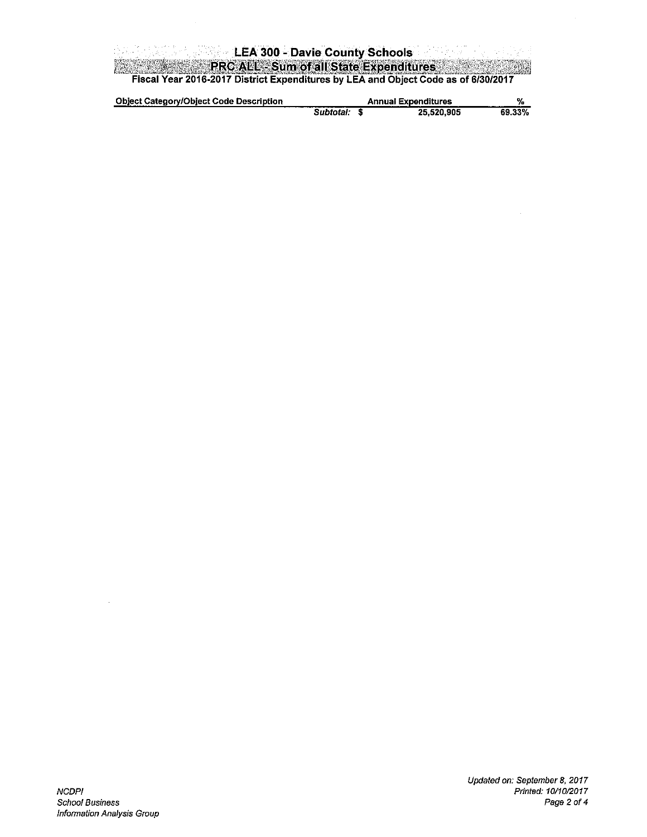| <b>Example 2004</b> - Davie County Schools -<br>しばえなり ひんしょ あたりこうさ                  |  |
|------------------------------------------------------------------------------------|--|
| <b>PRC ALL - Sum of all State Expenditures</b>                                     |  |
| Fiscal Year 2016-2017 District Expenditures by LEA and Object Code as of 6/30/2017 |  |

| <b>Object Category/Object Code Description</b> |           | <b>Annual Expenditures</b> |            | ₩      |
|------------------------------------------------|-----------|----------------------------|------------|--------|
|                                                | Subtotal: |                            | 25.520.905 | 69.33% |

 $\mathcal{A}^{\mathcal{A}}$ 

 $\frac{1}{2}$ 

 $\sim$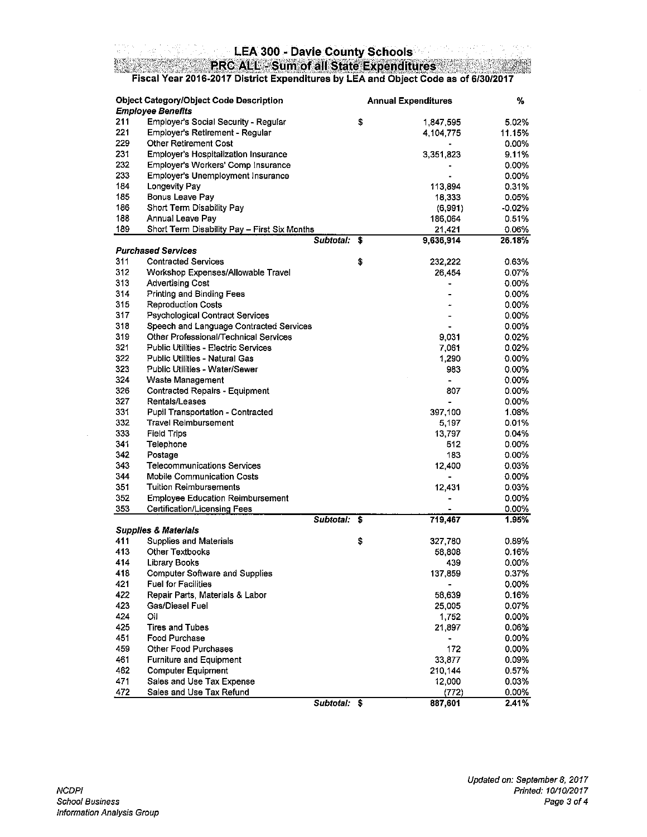# LEA 300 - Davie County Schools<br>PRC ALL - Sum of all State Expenditures<br>Fiscal Year 2016-2017 District Expenditures by LEA and Object Code as of 6/30/2017

|     | <b>Object Category/Object Code Description</b><br><b>Employee Benefits</b> |              | <b>Annual Expenditures</b> | ℅        |
|-----|----------------------------------------------------------------------------|--------------|----------------------------|----------|
| 211 | Employer's Social Security - Regular                                       |              | \$<br>1,847,595            | 5.02%    |
| 221 | Employer's Retirement - Regular                                            |              | 4,104,775                  | 11.15%   |
| 229 | <b>Other Retirement Cost</b>                                               |              |                            | 0.00%    |
| 231 | <b>Employer's Hospitalization Insurance</b>                                |              | 3,351,823                  | 9.11%    |
| 232 | Employer's Workers' Comp Insurance                                         |              |                            | 0.00%    |
| 233 | Employer's Unemployment Insurance                                          |              |                            | 0.00%    |
| 184 | <b>Longevity Pay</b>                                                       |              | 113,894                    | 0.31%    |
| 185 | Bonus Leave Pay                                                            |              | 18,333                     | 0.05%    |
| 186 | Short Term Disability Pay                                                  |              | (6,991)                    | $-0.02%$ |
| 188 | Annual Leave Pay                                                           |              | 186,064                    | 0.51%    |
| 189 | Short Term Disability Pay - First Six Months                               |              | 21,421                     | 0.06%    |
|     |                                                                            | Subtotal:    | \$<br>9,636,914            | 26.18%   |
|     | <b>Purchased Services</b>                                                  |              |                            |          |
| 311 | <b>Contracted Services</b>                                                 |              | \$<br>232,222              | 0.63%    |
| 312 | Workshop Expenses/Allowable Travel                                         |              | 26,454                     | 0.07%    |
| 313 | <b>Advertising Cost</b>                                                    |              | ٠                          | $0.00\%$ |
| 314 | Printing and Binding Fees                                                  |              |                            | 0.00%    |
| 315 | <b>Reproduction Costs</b>                                                  |              |                            | 0.00%    |
| 317 | Psychological Contract Services                                            |              |                            | 0.00%    |
| 318 | Speech and Language Contracted Services                                    |              |                            | 0.00%    |
| 319 | Other Professional/Technical Services                                      |              | 9,031                      | 0.02%    |
| 321 | Public Utilities - Electric Services                                       |              | 7,061                      | 0.02%    |
| 322 | <b>Public Utilities - Natural Gas</b>                                      |              |                            |          |
| 323 |                                                                            |              | 1,290                      | 0.00%    |
|     | Public Utilities - Water/Sewer                                             |              | 983                        | $0.00\%$ |
| 324 | Waste Management                                                           |              | $\overline{\phantom{0}}$   | 0.00%    |
| 326 | Contracted Repairs - Equipment                                             |              | 807                        | 0.00%    |
| 327 | Rentals/Leases                                                             |              |                            | 0.00%    |
| 331 | Pupil Transportation - Contracted                                          |              | 397,100                    | 1.08%    |
| 332 | <b>Travel Reimbursement</b>                                                |              | 5,197                      | 0.01%    |
| 333 | Field Trips                                                                |              | 13,797                     | 0.04%    |
| 341 | Telephone                                                                  |              | 512                        | $0.00\%$ |
| 342 | Postage                                                                    |              | 183                        | 0.00%    |
| 343 | Telecommunications Services                                                |              | 12,400                     | 0.03%    |
| 344 | <b>Mobile Communication Costs</b>                                          |              | -                          | 0.00%    |
| 351 | <b>Tuition Reimbursements</b>                                              |              | 12,431                     | 0.03%    |
| 352 | <b>Employee Education Reimbursement</b>                                    |              |                            | 0.00%    |
| 353 | Certification/Licensing Fees                                               |              |                            | 0.00%    |
|     | <b>Supplies &amp; Materials</b>                                            | Subtotal: \$ | 719,467                    | 1.95%    |
| 411 | <b>Supplies and Materials</b>                                              |              | \$<br>327,780              | 0.89%    |
| 413 | <b>Other Textbooks</b>                                                     |              | 58,808                     | 0.16%    |
| 414 | <b>Library Books</b>                                                       |              | 439                        | 0.00%    |
| 418 | Computer Software and Supplies                                             |              | 137,859                    | 0.37%    |
| 421 | <b>Fuel for Facilities</b>                                                 |              |                            | 0.00%    |
| 422 | Repair Parts, Materials & Labor                                            |              | 58,639                     | 0.16%    |
| 423 | Gas/Diesel Fuel                                                            |              | 25,005                     | 0.07%    |
| 424 | Юil                                                                        |              | 1,752                      | $0.00\%$ |
| 425 | <b>Tires and Tubes</b>                                                     |              | 21,897                     | 0.06%    |
| 451 | Food Purchase                                                              |              |                            | $0.00\%$ |
| 459 | Other Food Purchases                                                       |              | 172                        | $0.00\%$ |
| 461 | Furniture and Equipment                                                    |              | 33,877                     | 0.09%    |
| 462 | <b>Computer Equipment</b>                                                  |              | 210,144                    | 0.57%    |
| 471 | Sales and Use Tax Expense                                                  |              | 12,000                     | 0.03%    |
| 472 | Sales and Use Tax Refund                                                   |              | (772)                      | $0.00\%$ |
|     |                                                                            |              |                            | 2.41%    |
|     |                                                                            | Subtotal: \$ | 887,601                    |          |

N.X.  $\mathbf{z} \rightarrow \mathbf{z}$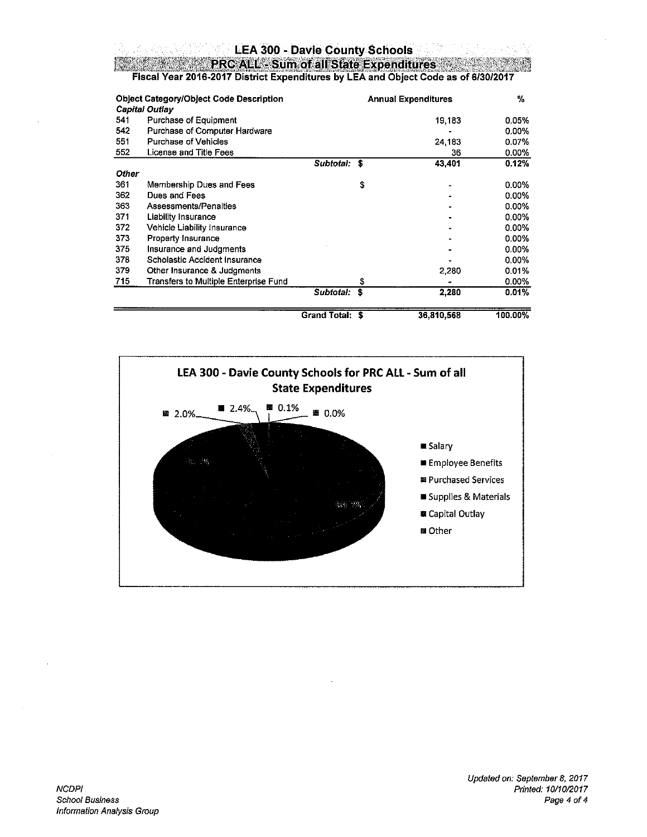### **LEA 300 - Davie County Schools**

PRC ALL - Sum of all State Expenditures

Fiscal Year 2016-2017 District Expenditures by LEA and Object Code as of 6/30/2017

|       | <b>Object Category/Object Code Description</b><br>Capital Outlay |                 |    | <b>Annual Expenditures</b> | $\mathcal{V}_0$ |
|-------|------------------------------------------------------------------|-----------------|----|----------------------------|-----------------|
| 541   | Purchase of Equipment                                            |                 |    | 19,183                     | 0.05%           |
| 542   | Purchase of Computer Hardware                                    |                 |    |                            | 0.00%           |
| 551   | Purchase of Vehicles                                             |                 |    | 24,183                     | 0.07%           |
| 552   | License and Title Fees                                           |                 |    | 36                         | $0.00\%$        |
|       |                                                                  | Subtotal: \$    |    | 43,401                     | 0.12%           |
| Other |                                                                  |                 |    |                            |                 |
| 361   | Membership Dues and Fees                                         |                 | \$ |                            | $0.00\%$        |
| 362   | Dues and Fees                                                    |                 |    |                            | $0.00\%$        |
| 363   | Assessments/Penalties                                            |                 |    |                            | 0.00%           |
| 371   | Liability Insurance                                              |                 |    |                            | 0.00%           |
| 372   | Vehicle Liability Insurance                                      |                 |    |                            | $0.00\%$        |
| 373   | Property Insurance                                               |                 |    |                            | 0.00%           |
| 375   | Insurance and Judgments                                          |                 |    |                            | $0.00\%$        |
| 378   | Scholastic Accident Insurance                                    |                 |    |                            | $0.00\%$        |
| 379   | Other Insurance & Judgments                                      |                 |    | 2,280                      | 0.01%           |
| 715   | Transfers to Multiple Enterprise Fund                            |                 | \$ |                            | 0.00%           |
|       |                                                                  | Subtotal:       | Ś  | 2,280                      | 0.01%           |
|       |                                                                  | Grand Total: \$ |    | 36,810,568                 | 100.00%         |

100.00%

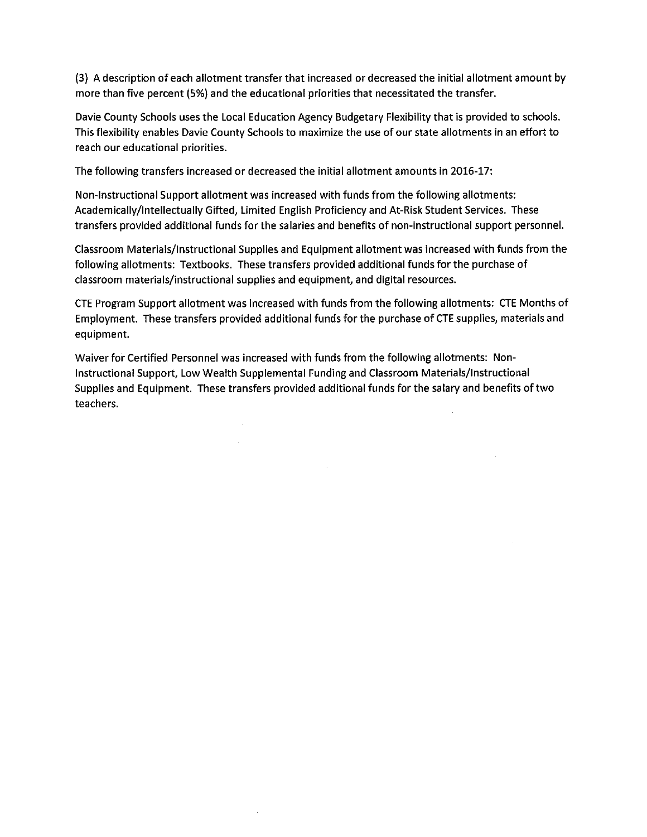(3) A description of each allotment transfer that increased or decreased the initial allotment amount by more than five percent (5%) and the educational priorities that necessitated the transfer.

Davie County Schools uses the Local Education Agency Budgetary Flexibility that is provided to schools. This flexibility enables Davie County Schools to maximize the use of our state allotments in an effort to reach our educational priorities.

The following transfers increased or decreased the initial allotment amounts in 2016-17:

Non-Instructional Support allotment was increased with funds from the following allotments: Academically/Intellectually Gifted, Limited English Proficiency and At-Risk Student Services. These transfers provided additional funds for the salaries and benefits of non-instructional support personnel.

Classroom Materials/Instructional Supplies and Equipment allotment was increased with funds from the following allotments: Textbooks. These transfers provided additional funds for the purchase of classroom materials/instructional supplies and equipment, and digital resources.

CTE Program Support allotment was increased with funds from the following allotments: CTE Months of Employment. These transfers provided additional funds for the purchase of CTE supplies, materials and equipment.

Waiver for Certified Personnel was increased with funds from the following allotments: Non-Instructional Support, Low Wealth Supplemental Funding and Classroom Materials/Instructional Supplies and Equipment. These transfers provided additional funds for the salary and benefits of two teachers.

 $\sim 10^{-11}$ 

 $\sim$ 

 $\mathcal{A}^{\mathcal{A}}$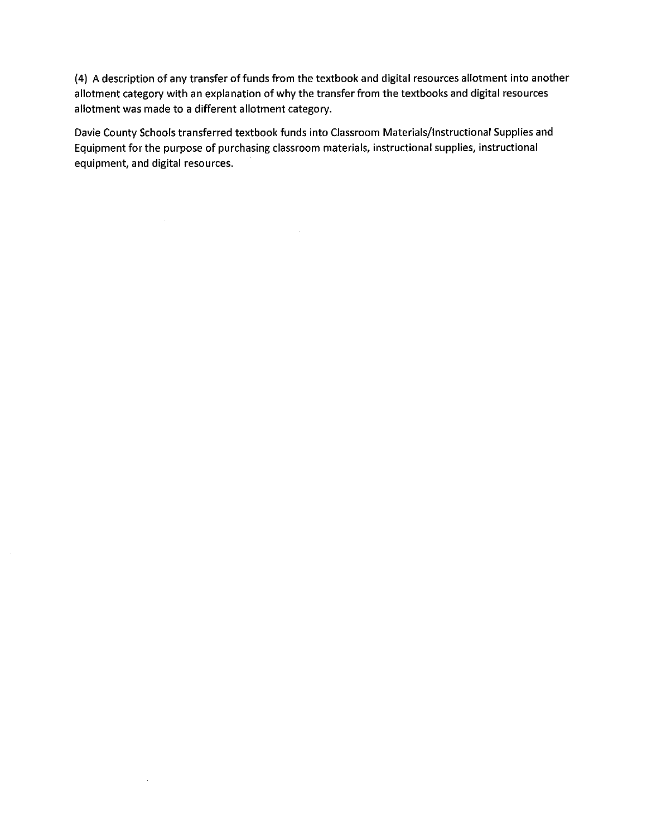(4) A description of any transfer of funds from the textbook and digital resources allotment into another allotment category with an explanation of why the transfer from the textbooks and digital resources allotment was made to a different allotment category.

Davie County Schools transferred textbook funds into Classroom Materials/Instructional Supplies and Equipment for the purpose of purchasing classroom materials, instructional supplies, instructional equipment, and digital resources.

 $\sim$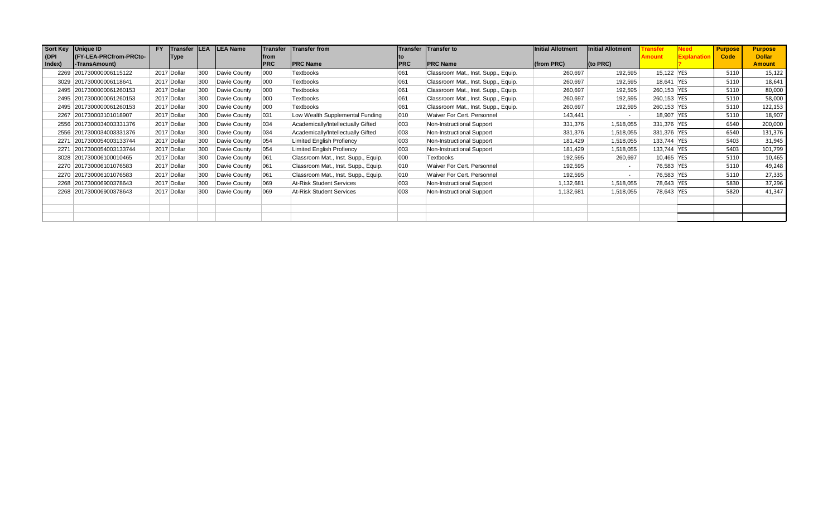| Sort Key | Unique ID                | <b>FY</b> | Transfer LEA |     | <b>LEA Name</b> |            | Transfer Transfer from              |            | Transfer Transfer to                | Initial Allotment | <b>Initial Allotment</b> |             | √eed           | <b>Purpose</b> | <b>Purpose</b> |
|----------|--------------------------|-----------|--------------|-----|-----------------|------------|-------------------------------------|------------|-------------------------------------|-------------------|--------------------------|-------------|----------------|----------------|----------------|
| (DPI     | (FY-LEA-PRCfrom-PRCto-   |           | Type         |     |                 | lfrom      |                                     |            |                                     |                   |                          | Amount      | <b>Explana</b> | Code           | <b>Dollar</b>  |
| Index)   | -TransAmount)            |           |              |     |                 | <b>PRC</b> | <b>PRC Name</b>                     | <b>PRC</b> | <b>PRC Name</b>                     | $ $ (from PRC)    | (to PRC)                 |             |                |                | <b>Amount</b>  |
|          | 2269 201730000006115122  |           | 2017 Dollar  | 300 | Davie County    | 000        | Textbooks                           | 061        | Classroom Mat., Inst. Supp., Equip. | 260,697           | 192,595                  | 15,122 YES  |                | 5110           | 15,122         |
|          | 3029 201730000006118641  |           | 2017 Dollar  | 300 | Davie County    | 000        | Textbooks                           | 061        | Classroom Mat., Inst. Supp., Equip. | 260,697           | 192,595                  | 18,641 YES  |                | 5110           | 18,641         |
|          | 2495 2017300000061260153 |           | 2017 Dollar  | 300 | Davie County    | 000        | Textbooks                           | 061        | Classroom Mat., Inst. Supp., Equip. | 260,697           | 192,595                  | 260,153 YES |                | 5110           | 80,000         |
|          | 2495 2017300000061260153 |           | 2017 Dollar  | 300 | Davie County    | 000        | Textbooks                           | 061        | Classroom Mat., Inst. Supp., Equip. | 260,697           | 192,595                  | 260,153 YES |                | 5110           | 58,000         |
|          | 2495 2017300000061260153 |           | 2017 Dollar  | 300 | Davie County    | 000        | Textbooks                           | 061        | Classroom Mat., Inst. Supp., Equip. | 260,697           | 192,595                  | 260,153 YES |                | 5110           | 122,153        |
|          | 2267 201730003101018907  |           | 2017 Dollar  | 300 | Davie County    | 031        | Low Wealth Supplemental Funding     | 010        | Waiver For Cert. Personnel          | 143,441           | $\sim$                   | 18,907 YES  |                | 5110           | 18,907         |
|          | 2556 2017300034003331376 |           | 2017 Dollar  | 300 | Davie County    | 034        | Academically/Intellectually Gifted  | 003        | Non-Instructional Support           | 331,376           | 1,518,055                | 331,376 YES |                | 6540           | 200,000        |
|          | 2556 2017300034003331376 |           | 2017 Dollar  | 300 | Davie County    | 034        | Academically/Intellectually Gifted  | 003        | Non-Instructional Support           | 331,376           | 1,518,055                | 331,376 YES |                | 6540           | 131,376        |
|          | 2271 2017300054003133744 |           | 2017 Dollar  | 300 | Davie County    | 054        | <b>Limited English Profiency</b>    | 003        | Non-Instructional Support           | 181,429           | 1,518,055                | 133,744 YES |                | 5403           | 31,945         |
|          | 2271 2017300054003133744 |           | 2017 Dollar  | 300 | Davie County    | 054        | <b>Limited English Profiency</b>    | 003        | Non-Instructional Support           | 181,429           | 1,518,055                | 133,744 YES |                | 5403           | 101,799        |
|          | 3028 201730006100010465  |           | 2017 Dollar  | 300 | Davie County    | 061        | Classroom Mat., Inst. Supp., Equip. | 000        | Textbooks                           | 192,595           | 260,697                  | 10,465 YES  |                | 5110           | 10,465         |
|          | 2270 201730006101076583  |           | 2017 Dollar  | 300 | Davie County    | 061        | Classroom Mat., Inst. Supp., Equip. | 010        | Waiver For Cert. Personnel          | 192,595           | $\sim$                   | 76,583 YES  |                | 5110           | 49,248         |
|          | 2270 201730006101076583  |           | 2017 Dollar  | 300 | Davie County    | 061        | Classroom Mat., Inst. Supp., Equip. | 010        | Waiver For Cert. Personnel          | 192,595           | $\sim$                   | 76,583 YES  |                | 5110           | 27,335         |
|          | 2268 201730006900378643  |           | 2017 Dollar  | 300 | Davie County    | 069        | At-Risk Student Services            | 003        | Non-Instructional Support           | 1,132,681         | 1,518,055                | 78,643 YES  |                | 5830           | 37,296         |
|          | 2268 201730006900378643  |           | 2017 Dollar  | 300 | Davie County    | 069        | At-Risk Student Services            | 003        | Non-Instructional Support           | 1,132,681         | 1,518,055                | 78,643 YES  |                | 5820           | 41,347         |
|          |                          |           |              |     |                 |            |                                     |            |                                     |                   |                          |             |                |                |                |
|          |                          |           |              |     |                 |            |                                     |            |                                     |                   |                          |             |                |                |                |
|          |                          |           |              |     |                 |            |                                     |            |                                     |                   |                          |             |                |                |                |